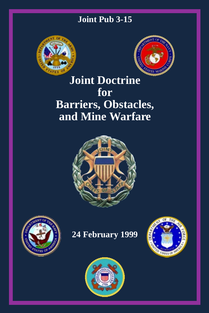## **Joint Pub 3-15**





# **Joint Doctrine for Barriers, Obstacles, and Mine Warfare**





## **24 February 1999**



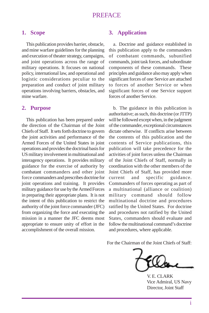## **PREFACE**

#### **1. Scope**

This publication provides barrier, obstacle, and mine warfare guidelines for the planning and execution of theater strategy, campaigns, and joint operations across the range of military operations. It focuses on national policy, international law, and operational and logistic considerations peculiar to the preparation and conduct of joint military operations involving barriers, obstacles, and mine warfare.

#### **2. Purpose**

This publication has been prepared under the direction of the Chairman of the Joint Chiefs of Staff. It sets forth doctrine to govern the joint activities and performance of the Armed Forces of the United States in joint operations and provides the doctrinal basis for US military involvement in multinational and interagency operations. It provides military guidance for the exercise of authority by combatant commanders and other joint force commanders and prescribes doctrine for joint operations and training. It provides military guidance for use by the Armed Forces in preparing their appropriate plans. It is not the intent of this publication to restrict the authority of the joint force commander (JFC) from organizing the force and executing the mission in a manner the JFC deems most appropriate to ensure unity of effort in the accomplishment of the overall mission.

#### **3. Application**

a. Doctrine and guidance established in this publication apply to the commanders of combatant commands, subunified commands, joint task forces, and subordinate components of these commands. These principles and guidance also may apply when significant forces of one Service are attached to forces of another Service or when significant forces of one Service support forces of another Service.

b. The guidance in this publication is authoritative; as such, this doctrine (or JTTP) will be followed except when, in the judgment of the commander, exceptional circumstances dictate otherwise. If conflicts arise between the contents of this publication and the contents of Service publications, this publication will take precedence for the activities of joint forces unless the Chairman of the Joint Chiefs of Staff, normally in coordination with the other members of the Joint Chiefs of Staff, has provided more current and specific guidance. Commanders of forces operating as part of a multinational (alliance or coalition) military command should follow multinational doctrine and procedures ratified by the United States. For doctrine and procedures not ratified by the United States, commanders should evaluate and follow the multinational command's doctrine and procedures, where applicable.

For the Chairman of the Joint Chiefs of Staff:

V. E. CLARK Vice Admiral, US Navy Director, Joint Staff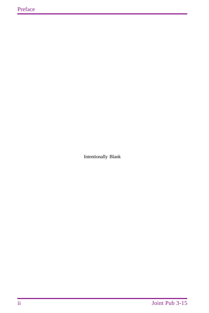Intentionally Blank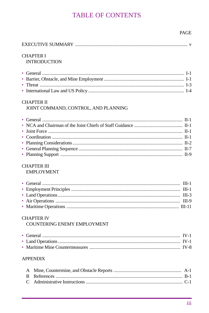## **TABLE OF CONTENTS**

#### PAGE

#### **CHAPTER I INTRODUCTION**

#### **CHAPTER II**

JOINT COMMAND, CONTROL, AND PLANNING

## **CHAPTER III**

#### **EMPLOYMENT**

#### **CHAPTER IV**

#### COUNTERING ENEMY EMPLOYMENT

#### **APPENDIX**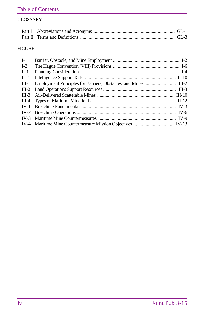## [GLOSSARY](#page-89-0)

## [FIGURE](#page-12-0)

| $I-1$  |  |
|--------|--|
| $I-2$  |  |
| $II-1$ |  |
| $II-2$ |  |
|        |  |
|        |  |
|        |  |
|        |  |
|        |  |
|        |  |
|        |  |
|        |  |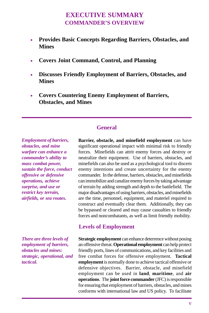## **EXECUTIVE SUMMARY COMMANDER'S OVERVIEW**

- <span id="page-5-0"></span>**• Provides Basic Concepts Regarding Barriers, Obstacles, and Mines**
- **• Covers Joint Command, Control, and Planning**
- **• Discusses Friendly Employment of Barriers, Obstacles, and Mines**
- **• Covers Countering Enemy Employment of Barriers, Obstacles, and Mines**

#### **General**

*Employment of barriers, obstacles, and mine warfare can enhance a commander's ability to mass combat power, sustain the force, conduct offensive or defensive operations, achieve surprise, and use or restrict key terrain, airfields, or sea routes.*

*There are three levels of employment of barriers, obstacles and mines: strategic, operational, and tactical.*

**Barrier, obstacle, and minefield employment** can have significant operational impact with minimal risk to friendly forces. Minefields can attrit enemy forces and destroy or neutralize their equipment. Use of barriers, obstacles, and minefields can also be used as a psychological tool to discern enemy intentions and create uncertainty for the enemy commander. In the defense, barriers, obstacles, and minefields can immobilize and canalize enemy forces by taking advantage of terrain by adding strength and depth to the battlefield. The major disadvantages of using barriers, obstacles, and minefields are the time, personnel, equipment, and materiel required to construct and eventually clear them. Additionally, they can be bypassed or cleared and may cause casualties to friendly forces and noncombatants, as well as limit friendly mobility.

## **Levels of Employment**

**Strategic employment** can enhance deterrence without posing an offensive threat. **Operational employment** can help protect friendly ports, lines of communications, and key facilities and free combat forces for offensive employment. **Tactical employment** is normally done to achieve tactical offensive or defensive objectives. Barrier, obstacle, and minefield employment can be used in **land**, **maritime**, and **air operations**. The **joint force commander** (JFC) is responsible for ensuring that employment of barriers, obstacles, and mines conforms with international law and US policy. To facilitate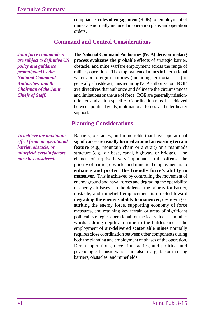compliance, **rules of engagement** (ROE) for employment of mines are normally included in operation plans and operation orders.

## **Command and Control Considerations**

*Joint force commanders are subject to definitive US policy and guidance promulgated by the National Command Authorities and the Chairman of the Joint Chiefs of Staff.*

*To achieve the maximum effect from an operational barrier, obstacle, or minefield, certain factors must be considered.*

The **National Command Authorities (NCA) decision making process evaluates the probable effects** of strategic barrier, obstacle, and mine warfare employment across the range of military operations. The employment of mines in international waters or foreign territories (including territorial seas) is generally a hostile act, thus requiring NCA authorization. **ROE are directives** that authorize and delineate the circumstances and limitations on the use of force. ROE are generally missionoriented and action-specific. Coordination must be achieved between political goals, multinational forces, and intertheater support.

## **Planning Considerations**

Barriers, obstacles, and minefields that have operational significance are **usually formed around an existing terrain feature** (e.g., mountain chain or a strait) or a manmade structure (e.g., air base, canal, highway, or bridge). The element of surprise is very important. In the **offense**, the priority of barrier, obstacle, and minefield employment is to **enhance and protect the friendly force's ability to maneuver**. This is achieved by controlling the movement of enemy ground and naval forces and degrading the operability of enemy air bases. In the **defense**, the priority for barrier, obstacle, and minefield emplacement is directed toward **degrading the enemy's ability to maneuver**, destroying or attriting the enemy force, supporting economy of force measures, and retaining key terrain or areas of significant political, strategic, operational, or tactical value — in other words, adding depth and time to the battlespace. The employment of **air-delivered scatterable mines** normally requires close coordination between other components during both the planning and employment of phases of the operation. Denial operations, deception tactics, and political and psychological considerations are also a large factor in using barriers, obstacles, and minefields.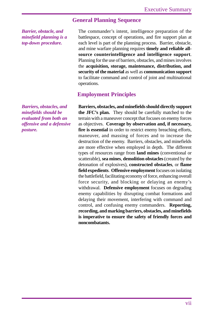## **General Planning Sequence**

*Barrier, obstacle, and minefield planning is a top-down procedure.*

*Barriers, obstacles, and minefields should be evaluated from both an offensive and a defensive posture.*

The commander's intent, intelligence preparation of the battlespace, concept of operations, and fire support plan at each level is part of the planning process. Barrier, obstacle, and mine warfare planning requires **timely and reliable allsource counterintelligence and intelligence support**. Planning for the use of barriers, obstacles, and mines involves the **acquisition, storage, maintenance, distribution, and security of the material** as well as **communication support** to facilitate command and control of joint and multinational operations.

#### **Employment Principles**

**Barriers, obstacles, and minefields should directly support the JFC's plan.** They should be carefully matched to the terrain with a maneuver concept that focuses on enemy forces as objectives. **Coverage by observation and, if necessary, fire is essential** in order to restrict enemy breaching efforts, maneuver, and massing of forces and to increase the destruction of the enemy. Barriers, obstacles, and minefields are more effective when employed in depth. The different types of resources range from **land mines** (conventional or scatterable), **sea mines**, **demolition obstacles** (created by the detonation of explosives), **constructed obstacles**, or **flame field expedients**. **Offensive employment** focuses on isolating the battlefield, facilitating economy of force, enhancing overall force security, and blocking or delaying an enemy's withdrawal. **Defensive employment** focuses on degrading enemy capabilities by disrupting combat formations and delaying their movement, interfering with command and control, and confusing enemy commanders. **Reporting, recording, and marking barriers, obstacles, and minefields is imperative to ensure the safety of friendly forces and noncombatants.**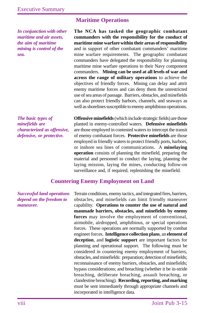*In conjunction with other maritime and air assets, the aim of maritime mining is control of the sea.*

*The basic types of minefields are characterized as offensive, defensive, or protective.*

## **Maritime Operations**

**The NCA has tasked the geographic combatant commanders with the responsibility for the conduct of maritime mine warfare within their areas of responsibility** and in support of other combatant commanders' maritime mine warfare requirements. The geographic combatant commanders have delegated the responsibility for planning maritime mine warfare operations to their Navy component commanders. **Mining can be used at all levels of war and across the range of military operations** to achieve the objectives of friendly forces. Mining can delay and attrit enemy maritime forces and can deny them the unrestricted use of sea areas of passage. Barriers, obstacles, and minefields can also protect friendly harbors, channels, and seaways as well as shorelines susceptible to enemy amphibious operations.

**Offensive minefields** (which include strategic fields) are those planted in enemy-controlled waters. **Defensive minefields** are those employed in contested waters to intercept the transit of enemy combatant forces. **Protective minefields** are those employed in friendly waters to protect friendly ports, harbors, or inshore sea lines of communications. A **minelaying operation** consists of planning the minefield, preparing the material and personnel to conduct the laying, planning the laying mission, laying the mines, conducting follow-on surveillance and, if required, replenishing the minefield.

#### **Countering Enemy Employment on Land**

*Successful land operations depend on the freedom to maneuver.*

Terrain conditions, enemy tactics, and integrated fires, barriers, obstacles, and minefields can limit friendly maneuver capability. **Operations to counter the use of natural and manmade barriers, obstacles, and minefields by enemy forces** may involve the employment of conventional, airmobile, airdropped, amphibious, or special operations forces. These operations are normally supported by combat engineer forces. **Intelligence collection plans**, an **element of deception**, and **logistic support** are important factors for planning and operational support. The following must be considered in countering enemy employment of barriers, obstacles, and minefields: preparation; detection of minefields; reconnaissance of enemy barriers, obstacles, and minefields; bypass considerations; and breaching (whether it be in-stride breaching, deliberate breaching, assault breaching, or clandestine breaching). **Recording, reporting, and marking** must be sent immediately through appropriate channels and incorporated in intelligence data.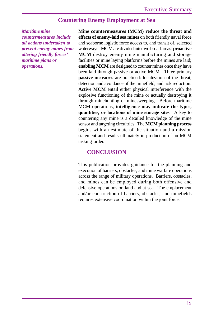## **Countering Enemy Employment at Sea**

*Maritime mine countermeasures include all actions undertaken to prevent enemy mines from altering friendly forces' maritime plans or operations.*

**Mine countermeasures (MCM) reduce the threat and effects of enemy-laid sea mines** on both friendly naval force and seaborne logistic force access to, and transit of, selected waterways. MCM are divided into two broad areas: **proactive MCM** destroy enemy mine manufacturing and storage facilities or mine laying platforms before the mines are laid; **enabling MCM** are designed to counter mines once they have been laid through passive or active MCM. Three primary **passive measures** are practiced: localization of the threat, detection and avoidance of the minefield, and risk reduction. **Active MCM** entail either physical interference with the explosive functioning of the mine or actually destroying it through minehunting or minesweeping. Before maritime MCM operations, **intelligence may indicate the types, quantities, or locations of mine storage sites**. A key to countering any mine is a detailed knowledge of the mine sensor and targeting circuitries. The **MCM planning process** begins with an estimate of the situation and a mission statement and results ultimately in production of an MCM tasking order.

#### **CONCLUSION**

This publication provides guidance for the planning and execution of barriers, obstacles, and mine warfare operations across the range of military operations. Barriers, obstacles, and mines can be employed during both offensive and defensive operations on land and at sea. The emplacement and/or construction of barriers, obstacles, and minefields requires extensive coordination within the joint force.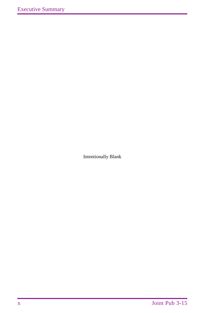Intentionally Blank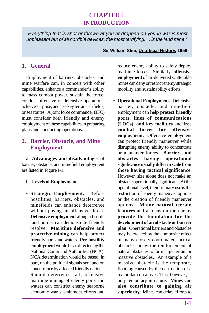## CHAPTER I **INTRODUCTION**

<span id="page-11-0"></span>"Everything that is shot or thrown at you or dropped on you in war is most unpleasant but of all horrible devices, the most terrifying. . . is the land mine."

**Sir William Slim, Unofficial History, 1959**

## **1. General**

Employment of barriers, obstacles, and mine warfare can, in concert with other capabilities, enhance a commander's ability to mass combat power, sustain the force, conduct offensive or defensive operations, achieve surprise, and use key terrain, airfields, or sea routes. A joint force commander (JFC) must consider both friendly and enemy employment of these capabilities in preparing plans and conducting operations.

### **2. Barrier, Obstacle, and Mine Employment**

a. **Advantages and disadvantages** of barrier, obstacle, and minefield employment are listed in Figure I-1.

#### b. **Levels of Employment**

• **Strategic Employment.** Before hostilities, barriers, obstacles, and minefields can enhance deterrence without posing an offensive threat. **Defensive employment** along a hostile land border can demonstrate friendly resolve. **Maritime defensive and protective mining** can help protect friendly ports and waters. **Pre-hostility employment** would be as directed by the National Command Authorities (NCA). NCA determination would be based, in part, on the political signals sent and on concurrence by affected friendly nations. Should deterrence fail, offensive maritime mining of enemy ports and waters can constrict enemy seaborne economic war sustainment efforts and

reduce enemy ability to safely deploy maritime forces. Similarly, **offensive employment** of air-delivered scatterable mines can deny or restrict enemy strategic mobility and sustainability efforts.

• **Operational Employment.** Defensive barrier, obstacle, and minefield employment can **help protect friendly ports, lines of communications (LOCs), and key facilities** and **free combat forces for offensive employment**. Offensive employment can protect friendly maneuver while disrupting enemy ability to concentrate or maneuver forces. **Barriers and obstacles having operational significance usually differ in scale from those having tactical significance.** However, size alone does not make an obstacle operationally significant. At the operational level, their primary use is the restriction of enemy maneuver options or the creation of friendly maneuver options. **Major natural terrain features** and a focus on the enemy **provide the foundation for the development of an obstacle or barrier plan**. Operational barriers and obstacles may be created by the composite effect of many closely coordinated tactical obstacles or by the reinforcement of natural obstacles to form large terrain or massive obstacles. An example of a massive obstacle is the temporary flooding caused by the destruction of a major dam on a river. This, however, is only temporary in nature. **Mines can also contribute to gaining air superiority.** Mines can delay efforts to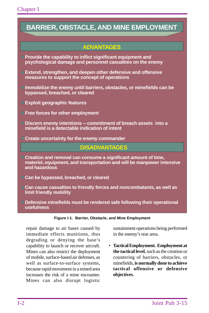<span id="page-12-0"></span>

#### **Figure I-1. Barrier, Obstacle, and Mine Employment**

repair damage to air bases caused by immediate effects munitions, thus degrading or denying the base's capability to launch or recover aircraft. Mines can also restrict the deployment of mobile, surface-based air defenses, as well as surface-to-surface systems, because rapid movement in a mined area increases the risk of a mine encounter. Mines can also disrupt logistic

sustainment operations being performed in the enemy's rear area.

• **Tactical Employment. Employment at the tactical level**, such as the creation or countering of barriers, obstacles, or minefields, **is normally done to achieve tactical offensive or defensive objectives**.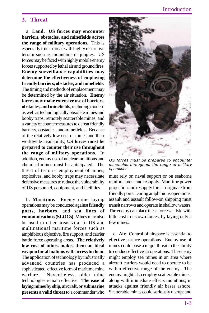#### <span id="page-13-0"></span>**3. Threat**

a. **Land. US forces may encounter barriers, obstacles, and minefields across the range of military operations.** This is especially true in areas with highly restrictive terrain such as mountains or jungles. US forces may be faced with highly mobile enemy forces supported by lethal air and ground fires. **Enemy surveillance capabilities may determine the effectiveness of employing friendly barriers, obstacles, and minefields.** The timing and methods of emplacement may be determined by the air situation. **Enemy forces may make extensive use of barriers, obstacles, and minefields**, including modern as well as technologically obsolete mines and booby traps, remotely scatterable mines, and a variety of countermeasures to defeat friendly barriers, obstacles, and minefields. Because of the relatively low cost of mines and their worldwide availability, **US forces must be prepared to counter their use throughout the range of military operations**. In addition, enemy use of nuclear munitions and chemical mines must be anticipated. The threat of terrorist employment of mines, explosives, and booby traps may necessitate defensive measures to reduce the vulnerability of US personnel, equipment, and facilities.

b. **Maritime.** Enemy mine laying operations may be conducted against **friendly ports**, **harbors**, and **sea lines of communications (SLOCs)**. Mines may also be used in other areas vital to US and multinational maritime forces such as amphibious objective, fire support, and carrier battle force operating areas. **The relatively low cost of mines makes them an ideal weapon for all nations with access to them.** The application of technology by industrially advanced countries has produced a sophisticated, effective form of maritime mine warfare. Nevertheless, older mine technologies remain effective. **The ease of laying mines by ship, aircraft, or submarine presents a valid threat** to a commander who



US forces must be prepared to encounter minefields throughout the range of military operations.

must rely on naval support or on seaborne reinforcement and resupply. Maritime power projection and resupply forces originate from friendly ports. During amphibious operations, assault and assault follow-on shipping must transit narrows and operate in shallow waters. The enemy can place these forces at risk, with little cost to its own forces, by laying only a few mines.

c. **Air.** Control of airspace is essential to effective surface operations. Enemy use of mines could pose a major threat to the ability to conduct effective air operations. The enemy might employ sea mines in an area where aircraft carriers would need to operate to be within effective range of the enemy. The enemy might also employ scatterable mines, along with immediate effects munitions, in attacks against friendly air bases ashore. Scatterable mines could seriously disrupt and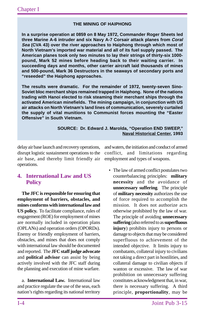#### **THE MINING OF HAIPHONG**

<span id="page-14-0"></span>**In a surprise operation at 0859 on 8 May 1972, Commander Roger Sheets led three Marine A-6 intruder and six Navy A-7 Corsair attack planes from Coral Sea (CVA 43) over the river approaches to Haiphong through which most of North Vietnam's imported war material and all of its fuel supply passed. The American planes took only two minutes to lay their strings of thirty-six 1000 pound, Mark 52 mines before heading back to their waiting carrier. In succeeding days and months, other carrier aircraft laid thousands of mines and 500-pound, Mark 36 Destructors in the seaways of secondary ports and "reseeded" the Haiphong approaches.**

**The results were dramatic. For the remainder of 1972, twenty-seven Sino-Soviet bloc merchant ships remained trapped in Haiphong. None of the nations trading with Hanoi elected to risk steaming their merchant ships through the activated American minefields. The mining campaign, in conjunction with US air attacks on North Vietnam's land lines of communication, severely curtailed the supply of vital munitions to Communist forces mounting the "Easter Offensive" in South Vietnam.**

**SOURCE: Dr. Edward J. Marolda, "Operation END SWEEP," Naval Historical Center, 1993**

delay air base launch and recovery operations, disrupt logistic sustainment operations to the air base, and thereby limit friendly air operations.

#### **4. International Law and US Policy**

**The JFC is responsible for ensuring that employment of barriers, obstacles, and mines conforms with international law and US policy.** To facilitate compliance, rules of engagement (ROE) for employment of mines are normally included in operation plans (OPLANs) and operation orders (OPORDs). Enemy or friendly employment of barriers, obstacles, and mines that does not comply with international law should be documented and reported. The **JFC staff judge advocate** and **political advisor** can assist by being actively involved with the JFC staff during the planning and execution of mine warfare.

a. **International Law.** International law and practice regulate the use of the seas, each nation's rights regarding its national territory

 $I-4$ 

and waters, the initiation and conduct of armed conflict, and limitations regarding employment and types of weapons.

• The law of armed conflict postulates two counterbalancing principles: **military necessity** and the avoidance of **unnecessary suffering**. The principle of **military necessity** authorizes the use of force required to accomplish the mission. It does not authorize acts otherwise prohibited by the law of war. The principle of avoiding **unnecessary suffering** (also referred to as **superfluous injury**) prohibits injury to persons or damage to objects that may be considered superfluous to achievement of the intended objective. It limits injury to combatants, collateral injury to civilians not taking a direct part in hostilities, and collateral damage to civilian objects if wanton or excessive. The law of war prohibition on unnecessary suffering constitutes acknowledgment that, in war, there is necessary suffering. A third principle, **proportionality**, may be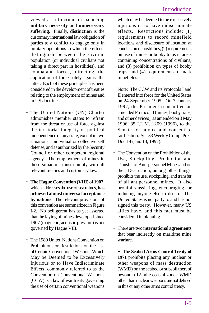viewed as a fulcrum for balancing **military necessity** and **unnecessary suffering**. Finally, **distinction** is the customary international law obligation of parties to a conflict to engage only in military operations in which the effects distinguish between the civilian population (or individual civilians not taking a direct part in hostilities), and combatant forces, directing the application of force solely against the latter. Each of these principles has been considered in the development of treaties relating to the employment of mines and in US doctrine.

- The United Nations (UN) Charter admonishes member states to refrain from the threat or use of force against the territorial integrity or political independence of any state, except in two situations: individual or collective self defense, and as authorized by the Security Council or other competent regional agency. The employment of mines in these situations must comply with all relevant treaties and customary law.
- **The Hague Convention (VIII) of 1907**, which addresses the use of sea mines, **has achieved almost universal acceptance by nations**. The relevant provisions of this convention are summarized in Figure I-2. No belligerent has as yet asserted that the laying of mines developed since 1907 (magnetic, acoustic pressure) is not governed by Hague VIII.
- The 1980 United Nations Convention on Prohibitions or Restrictions on the Use of Certain Conventional Weapons Which May be Deemed to be Excessively Injurious or to Have Indiscriminate Effects, commonly referred to as the Convention on Conventional Weapons (CCW) is a law of war treaty governing the use of certain conventional weapons

which may be deemed to be excessively injurious or to have indiscriminate effects. Restrictions include: (1) requirements to record minefield locations and disclosure of location at conclusion of hostilities; (2) requirements on use of mines or booby traps in areas containing concentrations of civilians; and (3) prohibition on types of booby traps; and (4) requirements to mark minefields.

Note: The CCW and its Protocols I and II entered into force for the United States on 24 September 1995. On 7 January 1997, the President transmitted an amended Protocol II (mines, booby traps, and other devices), as amended on 3 May 1996, 35 I.L.M. 1209 (1996), to the Senate for advice and consent to ratification. See 33 Weekly Comp. Pres. Doc 14 (Jan. 13, 1997).

- The Convention on the Prohibition of the Use, Stockpiling, Production and Transfer of Anti-personnel Mines and on their Destruction, among other things, prohibits the use, stockpiling, and transfer of all antipersonnel mines. It also prohibits assisting, encouraging, or inducing anyone else to do so. The United States is not party to and has not signed this treaty. However, many US allies have, and this fact must be considered in planning.
- There are **two international agreements** that bear indirectly on maritime mine warfare.

•• The **Seabed Arms Control Treaty of 1971** prohibits placing any nuclear or other weapons of mass destruction (WMD) on the seabed or subsoil thereof beyond a 12-mile coastal zone. WMD other than nuclear weapons are not defined in this or any other arms control treaty.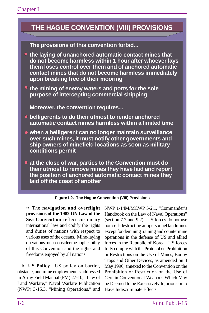## <span id="page-16-0"></span>**THE HAGUE CONVENTION (VIII) PROVISIONS**

**The provisions of this convention forbid...**

- **the laying of unanchored automatic contact mines that do not become harmless within 1 hour after whoever lays them loses control over them and of anchored automatic contact mines that do not become harmless immediately upon breaking free of their mooring**
- **the mining of enemy waters and ports for the sole purpose of intercepting commercial shipping**

**Moreover, the convention requires...**

- **belligerents to do their utmost to render anchored automatic contact mines harmless within a limited time**
- **when a belligerent can no longer maintain surveillance over such mines, it must notify other governments and ship owners of minefield locations as soon as military conditions permit**
- **at the close of war, parties to the Convention must do their utmost to remove mines they have laid and report the position of anchored automatic contact mines they laid off the coast of another**

#### **Figure I-2. The Hague Convention (VIII) Provisions**

•• The **navigation and overflight provisions of the 1982 UN Law of the Sea Convention** reflect customary international law and codify the rights and duties of nations with respect to various uses of the oceans. Mine-laying operations must consider the applicability of this Convention and the rights and freedoms enjoyed by all nations.

b. **US Policy.** US policy on barrier, obstacle, and mine employment is addressed in Army Field Manual (FM) 27-10, "Law of Land Warfare," Naval Warfare Publication (NWP) 3-15.3, "Mining Operations," and NWP 1-14M/MCWP 5-2.1, "Commander's Handbook on the Law of Naval Operations" (section 7.7 and 9.2). US forces do not use non self-destructing antipersonnel landmines except for demining training and countermine operations in the defense of US and allied forces in the Republic of Korea. US forces fully comply with the Protocol on Prohibition or Restrictions on the Use of Mines, Booby Traps and Other Devices, as amended on 3 May 1996, annexed to the Convention on the Prohibition or Restriction on the Use of Certain Conventional Weapons Which May be Deemed to be Excessively Injurious or to Have Indiscriminate Effects.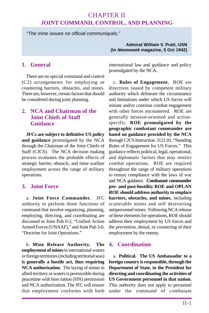## CHAPTER II **JOINT COMMAND, CONTROL, AND PLANNING**

<span id="page-17-0"></span>"The mine issues no official communiqués."

## **1. General**

There are no special command and control (C2) arrangements for employing or countering barriers, obstacles, and mines. There are, however, certain factors that should be considered during joint planning.

## **2. NCA and Chairman of the Joint Chiefs of Staff Guidance**

**JFCs are subject to definitive US policy and guidance** promulgated by the NCA through the Chairman of the Joint Chiefs of Staff (CJCS). The NCA decision making process evaluates the probable effects of strategic barrier, obstacle, and mine warfare employment across the range of military operations.

## **3. Joint Force**

a. **Joint Force Commander.** JFC authority to perform those functions of command that involve organizing, planning, employing, directing, and coordinating are discussed in Joint Pub 0-2, "Unified Action Armed Forces (UNAAF)," and Joint Pub 3-0, "Doctrine for Joint Operations."

b. **Mine Release Authority. The employment of mines** in international waters or foreign territories (including territorial seas) **is generally a hostile act, thus requiring NCA authorization**. The laying of mines in allied territory or waters is permissible during peacetime with host nation (HN) permission and NCA authorization. The JFC will ensure that employment conforms with both

**Admiral William V. Pratt, USN (In Newsweek magazine, 5 Oct 1942)**

international law and guidance and policy promulgated by the NCA.

c. **Rules of Engagement.** ROE are directives issued by competent military authority which delineate the circumstance and limitations under which US forces will initiate and/or continue combat engagement with other forces encountered. ROE are generally mission-oriented and actionspecific. **ROE promulgated by the geographic combatant commander are based on guidance provided by the NCA** through CJCS Instruction 3121.01, "Standing Rules of Engagement for US Forces." This guidance reflects political, legal, operational, and diplomatic factors that may restrict combat operations. ROE are required throughout the range of military operations to ensure compliance with the laws of war and NCA guidance. **Combatant commander pre- and post-hostility ROE and OPLAN ROE should address authority to emplace barriers, obstacles, and mines**, including scatterable mines and self destructing antipersonnel mines. Following NCA release of these elements for operations, ROE should address their employment by US forces and the prevention, denial, or countering of their employment by the enemy.

## **4. Coordination**

a. **Political. The US Ambassador to a foreign country is responsible, through the Department of State, to the President for directing and coordinating the activities of US Government personnel in that nation.** This authority does not apply to personnel under the command of combatant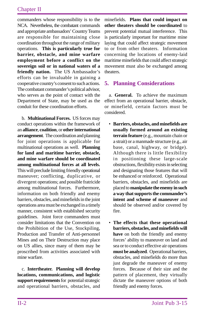<span id="page-18-0"></span>commanders whose responsibility is to the NCA. Nevertheless, the combatant commands and appropriate ambassadors' Country Teams are responsible for maintaining close coordination throughout the range of military operations. **This is particularly true for barrier, obstacle, and mine warfare employment before a conflict on the sovereign soil or in national waters of a friendly nation.** The US Ambassador's efforts can be invaluable in gaining a cooperative country's consent to such actions. The combatant commander's political advisor, who serves as the point of contact with the Department of State, may be used as the conduit for these coordination efforts.

b. **Multinational Forces.** US forces may conduct operations within the framework of an **alliance**, **coalition**, or **other international arrangement**. The coordination and planning for joint operations is applicable for multinational operations as well. **Planning for land and maritime barrier, obstacle, and mine warfare should be coordinated among multinational forces at all levels.** This will preclude limiting friendly operational maneuver; conflicting, duplicative, or divergent operations; and possible fratricide among multinational forces. Furthermore, information on both friendly and enemy barriers, obstacles, and minefields in the joint operations area must be exchanged in a timely manner, consistent with established security guidelines. Joint force commanders must consider limitations that the Convention on the Prohibition of the Use, Stockpiling, Production and Transfer of Anti-personnel Mines and on Their Destruction may place on US allies, since many of them may be proscribed from activities associated with mine warfare.

c. **Intertheater. Planning will develop locations, communications, and logistic support requirements** for potential strategic and operational barriers, obstacles, and minefields. **Plans that could impact on other theaters should be coordinated** to prevent potential mutual interference. This is particularly important for maritime mine laying that could affect strategic movement to or from other theaters. Information concerning the locations of enemy-laid maritime minefields that could affect strategic movement must also be exchanged among theaters.

#### **5. Planning Considerations**

a. **General.** To achieve the maximum effect from an operational barrier, obstacle, or minefield, certain factors must be considered.

- **Barriers, obstacles, and minefields are usually formed around an existing terrain feature** (e.g., mountain chain or a strait) or a manmade structure (e.g., air base, canal, highway, or bridge). Although there is little flexibility in positioning these large-scale obstructions, flexibility exists in selecting and designating those features that will be enhanced or reinforced. Operational barriers, obstacles, and minefields are placed to **manipulate the enemy in such a way that supports the commander's intent and scheme of maneuver** and should be observed and/or covered by fire.
- **The effects that these operational barriers, obstacles, and minefields will have** on both the friendly and enemy forces' ability to maneuver on land and sea or to conduct effective air operations **must be analyzed**. Operational barriers, obstacles, and minefields do more than just degrade the maneuver of enemy forces. Because of their size and the pattern of placement, they virtually dictate the maneuver options of both friendly and enemy forces.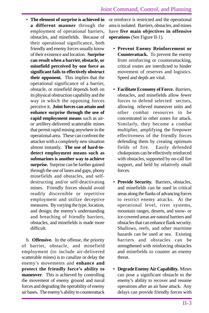• **The element of surprise is achieved in a different manner** through the employment of operational barriers, obstacles, and minefields. Because of their operational significance, both friendly and enemy forces usually know of their existence and location. **Surprise can result when a barrier, obstacle, or minefield perceived by one force as significant fails to effectively obstruct their opponent.** This implies that the operational significance of a barrier, obstacle, or minefield depends both on its physical obstruction capability and the way in which the opposing forces perceive it. **Joint forces can attain and enhance surprise through the use of rapid employment means** such as airor artillery-delivered scatterable mines that permit rapid mining anywhere in the operational area. These can confront the attacker with a completely new situation almost instantly. **The use of hard-todetect employment means such as submarines is another way to achieve surprise.** Surprise can be further gained through the use of lanes and gaps, phony minefields and obstacles, and selfdestructing and/or self-deactivating mines. Friendly forces should avoid readily discernible or repetitive employment and utilize deceptive measures. By varying the type, location, and design, the enemy's understanding and breaching of friendly barriers, obstacles, and minefields is made more difficult.

b. **Offensive.** In the offense, the priority of barrier, obstacle, and minefield employment (to include air-delivered scatterable mines) is to canalize or delay the enemy's movements and **enhance and protect the friendly force's ability to maneuver**. This is achieved by controlling the movement of enemy ground and naval forces and degrading the operability of enemy air bases. The enemy's ability to counterattack or reinforce is restricted and the operational area is isolated. Barriers, obstacles, and mines have **five main objectives in offensive operations** (See Figure II-1).

- **Prevent Enemy Reinforcement or Counterattack.** To prevent the enemy from reinforcing or counterattacking, critical routes are interdicted to hinder movement of reserves and logistics. Speed and depth are vital.
- **Facilitate Economy of Force.** Barriers, obstacles, and minefields allow fewer forces to defend selected sectors, allowing relieved maneuver units and other combat resources to be concentrated in other zones for attack. Similarly, they become a combat multiplier, amplifying the firepower effectiveness of the friendly forces defending them by creating optimum fields of fire. Easily defended chokepoints can be effectively reinforced with obstacles, supported by on-call fire support, and held by relatively small forces.
- **Provide Security.** Barriers, obstacles, and minefields can be used in critical areas along the flanks of advancing forces to restrict enemy attacks. At the operational level, river systems, mountain ranges, deserts, and snow- or ice-covered areas are natural barriers and obstacles that can enhance flank security. Shallows, reefs, and other maritime hazards can be used at sea. Existing barriers and obstacles can be strengthened with reinforcing obstacles and minefields to counter an enemy threat.
- **Degrade Enemy Air Capability.** Mines can pose a significant obstacle to the enemy's ability to recover and resume operations after an air base attack. Any delays can provide friendly forces with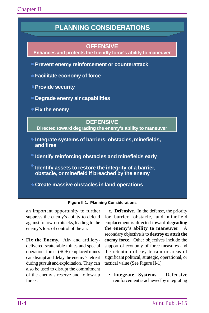## <span id="page-20-0"></span>Chapter II

## **PLANNING CONSIDERATIONS**

#### **OFFENSIVE**

**Enhances and protects the friendly force's ability to maneuver**

- **Prevent enemy reinforcement or counterattack**
- **Facilitate economy of force**
- **Provide security**
- **Degrade enemy air capabilities**
- **Fix the enemy**

### **DEFENSIVE**

**Directed toward degrading the enemy's ability to maneuver**

- **Integrate systems of barriers, obstacles, minefields, and fires**
- **Identify reinforcing obstacles and minefields early**
- **Identify assets to restore the integrity of a barrier, obstacle, or minefield if breached by the enemy**
- **Create massive obstacles in land operations**



an important opportunity to further suppress the enemy's ability to defend against follow-on attacks, leading to the enemy's loss of control of the air.

• **Fix the Enemy.** Air- and artillerydelivered scatterable mines and special operations forces (SOF) emplaced mines can disrupt and delay the enemy's retreat during pursuit and exploitation. They can also be used to disrupt the commitment of the enemy's reserve and follow-up forces.

c. **Defensive.** In the defense, the priority for barrier, obstacle, and minefield emplacement is directed toward **degrading the enemy's ability to maneuver**. A secondary objective is to **destroy or attrit the enemy force**. Other objectives include the support of economy of force measures and the retention of key terrain or areas of significant political, strategic, operational, or tactical value (See Figure II-1).

• **Integrate Systems.** Defensive reinforcement is achieved by integrating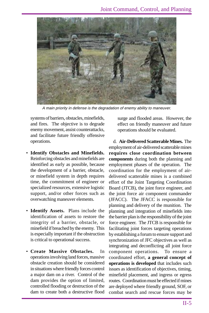

A main priority in defense is the degradation of enemy ability to maneuver.

systems of barriers, obstacles, minefields, and fires. The objective is to degrade enemy movement, assist counterattacks, and facilitate future friendly offensive operations.

- **Identify Obstacles and Minefields.** Reinforcing obstacles and minefields are identified as early as possible, because the development of a barrier, obstacle, or minefield system in depth requires time, the commitment of engineer or specialized resources, extensive logistic support, and/or other forces such as overwatching maneuver elements.
- **Identify Assets.** Plans include the identification of assets to restore the integrity of a barrier, obstacle, or minefield if breached by the enemy. This is especially important if the obstruction is critical to operational success.
- **Create Massive Obstacles.** In operations involving land forces, massive obstacle creation should be considered in situations where friendly forces control a major dam on a river. Control of the dam provides the option of limited, controlled flooding or destruction of the dam to create both a destructive flood

surge and flooded areas. However, the effect on friendly maneuver and future operations should be evaluated.

d. **Air-Delivered Scatterable Mines.** The employment of air-delivered scatterable mines **requires close coordination between components** during both the planning and employment phases of the operation. The coordination for the employment of airdelivered scatterable mines is a combined effort of the Joint Targeting Coordination Board (JTCB), the joint force engineer, and the joint force air component commander (JFACC). The JFACC is responsible for planning and delivery of the munition. The planning and integration of minefields into the barrier plan is the responsibility of the joint force engineer. The JTCB is responsible for facilitating joint forces targeting operations by establishing a forum to ensure support and synchronization of JFC objectives as well as integrating and deconflicting all joint force component operations. To ensure a coordinated effort, **a general concept of operations is developed** that includes such issues as identification of objectives, timing, minefield placement, and ingress or egress routes. Coordination must be effected if mines are deployed where friendly ground, SOF, or combat search and rescue forces may be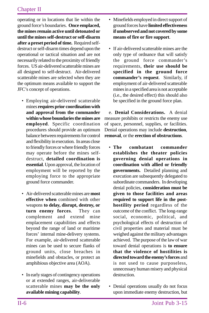## Chapter II

operating or in locations that lie within the ground force's boundaries. **Once emplaced, the mines remain active until detonated or until the mines self-destruct or self-disarm after a preset period of time.** Required selfdestruct or self-disarm times depend upon the operational or tactical situation and are not necessarily related to the proximity of friendly forces. US air-delivered scatterable mines are all designed to self-destruct. Air-delivered scatterable mines are selected when they are the optimum means available to support the JFC's concept of operations.

- Employing air-delivered scatterable mines **requires prior coordination with and approval from the commander within whose boundaries the mines are employed**. Specific coordination procedures should provide an optimum balance between requirements for control and flexibility in execution. In areas close to friendly forces or where friendly forces may operate before the mines selfdestruct, **detailed coordination is essential**. Upon approval, the location of employment will be reported by the employing force to the appropriate ground force commander.
- Air-delivered scatterable mines are **most effective when** combined with other weapons **to delay, disrupt, destroy, or turn enemy forces**. They can complement and extend mine emplacement capabilities and effects beyond the range of land or maritime forces' internal mine-delivery systems. For example, air-delivered scatterable mines can be used to secure flanks of ground units, close breaches in minefields and obstacles, or protect an amphibious objective area (AOA).
- In early stages of contingency operations or at extended ranges, air-deliverable scatterable mines **may be the only available mining capability**.
- Minefields employed in direct support of ground forces have **limited effectiveness if unobserved and not covered by some means of fire or fire support**.
- If air-delivered scatterable mines are the only type of ordnance that will satisfy the ground force commander's requirements, **their use should be specified in the ground force commander's request**. Similarly, if employment of air-delivered scatterable mines in a specified area is not acceptable (i.e., the desired effect) this should also be specified in the ground force plan.

e. **Denial Considerations.** A denial measure prohibits or restricts the enemy use of space, personnel, supplies, or facilities. Denial operations may include **destruction**, **removal**, or the **erection of obstructions**.

- **The combatant commander establishes the theater policies governing denial operations in coordination with allied or friendly governments.** Detailed planning and execution are subsequently delegated to subordinate commanders. In developing denial policies, **consideration must be given to those facilities and areas required to support life in the posthostility period** regardless of the outcome of the conflict. The long-range social, economic, political, and psychological effects of destruction of civil properties and material must be weighed against the military advantages achieved. The purpose of the law of war toward denial operations is **to ensure that the violence of hostilities is directed toward the enemy's forces** and is not used to cause purposeless, unnecessary human misery and physical destruction.
- Denial operations usually do not focus upon immediate enemy destruction, but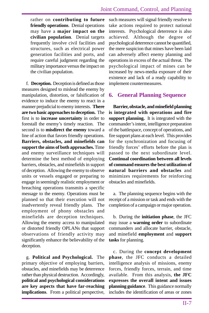<span id="page-23-0"></span>rather on **contributing to future friendly operations**. Denial operations may have a **major impact on the civilian population**. Denial targets frequently involve civil facilities and structures, such as electrical power generation facilities and ports, and require careful judgment regarding the military importance versus the impact on the civilian population.

f. **Deception.** Deception is defined as those measures designed to mislead the enemy by manipulation, distortion, or falsification of evidence to induce the enemy to react in a manner prejudicial to enemy interests. **There are two basic approaches to deception.** The first is to **increase uncertainty** in order to forestall the enemy's timely reaction. The second is to **misdirect the enemy** toward a line of action that favors friendly operations. **Barriers, obstacles, and minefields can support the aims of both approaches.** Time and enemy surveillance techniques will determine the best method of employing barriers, obstacles, and minefields in support of deception. Allowing the enemy to observe units or vessels engaged or preparing to engage in seemingly realistic employment or breaching operations transmits a specific message to the enemy. Operations must be planned so that their execution will not inadvertently reveal friendly plans. The employment of phony obstacles and minefields are deception techniques. Allowing the enemy access to manipulated or distorted friendly OPLANs that support observations of friendly activity may significantly enhance the believability of the deception.

g. **Political and Psychological.** The primary objective of employing barriers, obstacles, and minefields may be deterrence rather than physical destruction. Accordingly, **political and psychological considerations are key aspects that have far-reaching implications**. From a political perspective,

such measures will signal friendly resolve to take actions required to protect national interests. Psychological deterrence is also achieved. Although the degree of psychological deterrence cannot be quantified, the mere suspicion that mines have been laid can adversely affect enemy planning and operations in excess of the actual threat. The psychological impact of mines can be increased by news-media exposure of their existence and lack of a ready capability to implement countermeasures.

#### **6. General Planning Sequence**

**Barrier, obstacle, and minefield planning is integrated with operations and fire support planning.** It is integrated with the commander's intent, intelligence preparation of the battlespace, concept of operations, and fire support plans at each level. This provides for the synchronization and focusing of friendly forces' efforts before the plan is passed to the next subordinate level. **Continual coordination between all levels of command ensures the best utilization of natural barriers and obstacles** and minimizes requirements for reinforcing obstacles and minefields.

a. The planning sequence begins with the receipt of a mission or task and ends with the completion of a campaign or major operation.

b. During the **initiation phase**, the JFC may issue a **warning order** to subordinate commanders and allocate barrier, obstacle, and minefield **employment** and **support tasks** for planning.

c. During the **concept development phase**, the JFC conducts a detailed intelligence analysis of missions, enemy forces, friendly forces, terrain, and time available. From this analysis, **the JFC expresses the overall intent and issues planning guidance**. This guidance normally includes the identification of areas or zones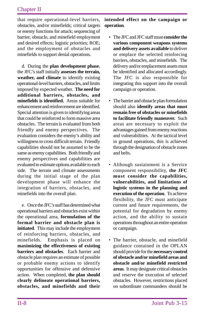that require operational-level barriers, obstacles, and/or minefields; critical targets or enemy functions for attack; sequencing of barrier, obstacle, and minefield employment and desired effects; logistic priorities; ROE; and the employment of obstacles and minefields to support denial operations.

d. During the **plan development phase**, the JFC's staff initially **assesses the terrain, weather, and climate** to identify existing operational-level barriers, obstacles, and limits imposed by expected weather. **The need for additional barriers, obstacles, and minefields is identified.** Areas suitable for enhancement and reinforcement are identified. Special attention is given to identifying areas that could be reinforced to form massive area obstacles. The terrain is evaluated from both friendly and enemy perspectives. The evaluation considers the enemy's ability and willingness to cross difficult terrain. Friendly capabilities should not be assumed to be the same as enemy capabilities. Both friendly and enemy perspectives and capabilities are evaluated to estimate options available to each side. The terrain and climate assessments during the initial stage of the plan development phase will enhance the integration of barriers, obstacles, and minefields into the overall plan.

e. Once the JFC's staff has determined what operational barriers and obstacles exist within the operational area, **formulation of the formal barrier and obstacle plan is initiated**. This may include the employment of reinforcing barriers, obstacles, and minefields. Emphasis is placed on **maximizing the effectiveness of existing barriers and obstacles**. Each barrier and obstacle plan requires an estimate of possible or probable enemy actions to identify opportunities for offensive and defensive action. When completed, **the plan should clearly delineate operational barriers, obstacles, and minefields and their**

**intended effect on the campaign or operation**.

- The JFC and JFC staff must **consider the various component weapons systems and delivery assets available** to deliver or emplace the selected reinforcing barriers, obstacles, and minefields. The delivery and/or emplacement assets must be identified and allocated accordingly. The JFC is also responsible for integrating this support into the overall campaign or operation.
- The barrier and obstacle plan formulation should also **identify areas that must remain free of obstacles or minefields to facilitate friendly maneuver.** Such areas are necessary to exploit the advantages gained from enemy reactions and vulnerabilities. At the tactical level in ground operations, this is achieved through the designation of obstacle zones and belts.
- Although sustainment is a Service component responsibility, **the JFC must consider the capabilities, vulnerabilities, and limitations of logistic systems in the planning and execution of the operation**. To achieve flexibility, the JFC must anticipate current and future requirements, the potential for degradation by enemy action, and the ability to sustain operations throughout an entire operation or campaign.
- The barrier, obstacle, and minefield guidance contained in the OPLAN should provide for the **necessary control of obstacle and/or minefield areas and obstacle and/or minefield restricted areas**. It may designate critical obstacles and reserve the execution of selected obstacles. However, restrictions placed on subordinate commanders should be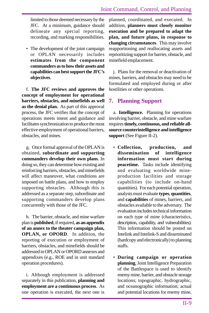<span id="page-25-0"></span>limited to those deemed necessary by the JFC. At a minimum, guidance should delineate any special reporting, recording, and marking responsibilities.

• The development of the joint campaign or OPLAN necessarily includes **estimates from the component commanders as to how their assets and capabilities can best support the JFC's objectives**.

f. **The JFC reviews and approves the concept of employment for operational barriers, obstacles, and minefields as well as the denial plan.** As part of this approval process, the JFC verifies that the concept of operations meets intent and guidance and facilitates synchronization to produce the most effective employment of operational barriers, obstacles, and mines.

g. Once formal approval of the OPLAN is obtained, **subordinate and supporting commanders develop their own plans**. In doing so, they can determine how existing and reinforcing barriers, obstacles, and minefields will affect maneuver, what conditions are imposed on battle plans, and how to employ supporting obstacles. Although this is addressed as a separate step, subordinate and supporting commanders develop plans concurrently with those of the JFC.

h. The barrier, obstacle, and mine warfare plan is **published**, if required, **as an appendix of an annex to the theater campaign plan, OPLAN, or OPORD**. In addition, the reporting of execution or employment of barriers, obstacles, and minefields should be addressed in OPLAN or OPORD annexes and appendixes (e.g., ROE and in unit standard operation procedures).

i. Although employment is addressed separately in this publication, **planning and employment are a continuous process**. As one operation is executed, the next one is

planned, coordinated, and executed. In addition, **planners must closely monitor execution and be prepared to adapt the plan, and future plans, in response to changing circumstances**. This may involve reapportioning and reallocating assets and reprioritizing support for barrier, obstacle, and minefield emplacement.

j. Plans for the removal or deactivation of mines, barriers, and obstacles may need to be formulated and employed during or after hostilities or other operations.

## **7. Planning Support**

a. **Intelligence.** Planning for operations involving barrier, obstacle, and mine warfare requires **timely, continuous, and reliable allsource counterintelligence and intelligence support** (See Figure II-2).

- **Collection, production, and dissemination of intelligence information must start during peacetime.** Tasks include identifying and evaluating worldwide mineproduction facilities and storage capabilities (to include on-hand quantities). For each potential operation, analysts must evaluate **types**, **quantities**, and **capabilities** of mines, barriers, and obstacles available to the adversary. The evaluation includes technical information on each type of mine (characteristics, description, capability, and vulnerabilities). This information should be posted on Intelink and Intelink-S and disseminated (hardcopy and electronically) to planning staffs.
- **During campaign or operation planning**, Joint Intelligence Preparation of the Battlespace is used to identify enemy mine, barrier, and obstacle storage locations; topographic, hydrographic, and oceanographic information; actual and potential locations for enemy mine,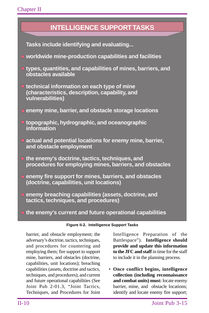## <span id="page-26-0"></span>Chapter II

## **INTELLIGENCE SUPPORTTASKS**

**Tasks include identifying and evaluating...**

- **worldwide mine-production capabilities and facilities**
- **types, quantities, and capabilities of mines, barriers, and obstacles available**
- **technical information on each type of mine (characteristics, description, capability, and vulnerabilities)**
- **enemy mine, barrier, and obstacle storage locations**
- **topographic, hydrographic, and oceanographic information**
- **actual and potential locations for enemy mine, barrier, and obstacle employment**
- **the enemy's doctrine, tactics, techniques, and procedures for employing mines, barriers, and obstacles**
- **enemy fire support for mines, barriers, and obstacles (doctrine, capabilities, unit locations)**
- **enemy breaching capabilities (assets, doctrine, and tactics, techniques, and procedures)**
- **o the enemy's current and future operational capabilities**

#### **Figure II-2. Intelligence Support Tasks**

barrier, and obstacle employment; the adversary's doctrine, tactics, techniques, and procedures for countering and employing them; fire support to support mine, barriers, and obstacles (doctrine, capabilities, unit locations); breaching capabilities (assets, doctrine and tactics, techniques, and procedures); and current and future operational capabilities (See Joint Pub 2-01.3, "Joint Tactics, Techniques, and Procedures for Joint

Intelligence Preparation of the Battlespace"). **Intelligence should provide and update this information to the JFC and staff** in time for the staff to include it in the planning process.

• **Once conflict begins, intelligence collection (including reconnaissance and combat units) must:** locate enemy barrier, mine, and obstacle locations; identify and locate enemy fire support;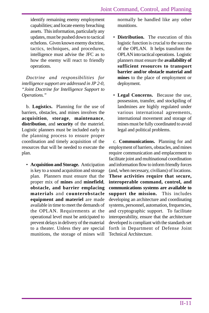identify remaining enemy employment capabilities; and locate enemy breaching assets. This information, particularly any updates, must be pushed down to tactical echelons. Given known enemy doctrine, tactics, techniques, and procedures, intelligence must advise the JFC as to how the enemy will react to friendly operations.

*Doctrine and responsibilities for intelligence support are addressed in JP 2-0, "Joint Doctrine for Intelligence Support to Operations."*

b. **Logistics.** Planning for the use of barriers, obstacles, and mines involves the **acquisition**, **storage**, **maintenance**, **distribution**, and **security** of the materiel. Logistic planners must be included early in the planning process to ensure proper coordination and timely acquisition of the resources that will be needed to execute the plan.

• **Acquisition and Storage.** Anticipation is key to a sound acquisition and storage plan. Planners must ensure that the proper mix of **mines** and **minefield**, **obstacle, and barrier emplacing materials** and **counterobstacle equipment and materiel** are made available in time to meet the demands of the OPLAN. Requirements at the operational level must be anticipated to prevent delays in delivery of the material to a theater. Unless they are special munitions, the storage of mines will

normally be handled like any other munitions.

- **Distribution.** The execution of this logistic function is crucial to the success of the OPLAN. It helps transform the OPLAN into tactical operations. Logistic planners must ensure the **availability of sufficient resources to transport barrier and/or obstacle material and mines** to the place of employment or deployment.
- **Legal Concerns.** Because the use, possession, transfer, and stockpiling of landmines are highly regulated under various international agreements, international movement and storage of mines must be fully coordinated to avoid legal and political problems.

c. **Communications.** Planning for and employment of barriers, obstacles, and mines require communication and emplacement to facilitate joint and multinational coordination and information flow to inform friendly forces (and, when necessary, civilians) of locations. **These activities require that secure, interoperable command, control, and communications systems are available to support the mission.** This includes developing an architecture and coordinating systems, personnel, automation, frequencies, and cryptographic support. To facilitate interoperability, ensure that the architecture developed is compliant with the standards set forth in Department of Defense Joint Technical Architecture.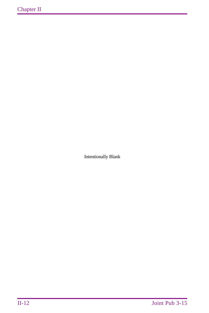Intentionally Blank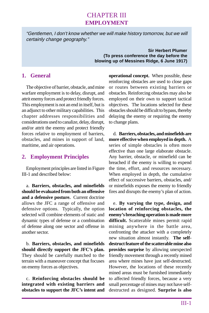## CHAPTER III **EMPLOYMENT**

<span id="page-29-0"></span>"Gentlemen, I don't know whether we will make history tomorrow, but we will certainly change geography."

> **Sir Herbert Plumer (To press conference the day before the blowing up of Messines Ridge, 6 June 1917)**

## **1. General**

The objective of barrier, obstacle, and mine warfare employment is to delay, disrupt, and attrit enemy forces and protect friendly forces. This employment is not an end in itself, but is an adjunct to other military capabilities. This chapter addresses responsibilities and considerations used to canalize, delay, disrupt, and/or attrit the enemy and protect friendly forces relative to employment of barriers, obstacles, and mines in support of land, maritime, and air operations.

### **2. Employment Principles**

Employment principles are listed in Figure III-1 and described below:

a. **Barriers, obstacles, and minefields should be evaluated from both an offensive and a defensive posture.** Current doctrine allows the JFC a range of offensive and defensive options. Typically, the option selected will combine elements of static and dynamic types of defense or a combination of defense along one sector and offense in another sector.

b. **Barriers, obstacles, and minefields should directly support the JFC's plan.** They should be carefully matched to the terrain with a maneuver concept that focuses on enemy forces as objectives.

c. **Reinforcing obstacles should be integrated with existing barriers and obstacles to support the JFC's intent and** **operational concept.** When possible, these reinforcing obstacles are used to close gaps or routes between existing barriers or obstacles. Reinforcing obstacles may also be employed on their own to support tactical objectives. The locations selected for these obstacles should be difficult to bypass, thereby delaying the enemy or requiring the enemy to change plans.

d. **Barriers, obstacles, and minefields are more effective when employed in depth.** A series of simple obstacles is often more effective than one large elaborate obstacle. Any barrier, obstacle, or minefield can be breached if the enemy is willing to expend the time, effort, and resources necessary. When employed in depth, the cumulative effect of successive barriers, obstacles, and/ or minefields exposes the enemy to friendly fires and disrupts the enemy's plan of action.

e. **By varying the type, design, and location of reinforcing obstacles, the enemy's breaching operation is made more difficult.** Scatterable mines permit rapid mining anywhere in the battle area, confronting the attacker with a completely new situation almost instantly. **The selfdestruct feature of the scatterable mine also provides surprise** by allowing unexpected friendly movement through a recently mined area where mines have just self-destructed. However, the locations of these recently mined areas must be furnished immediately to affected friendly forces, because a very small percentage of mines may not have selfdestructed as designed. **Surprise is also**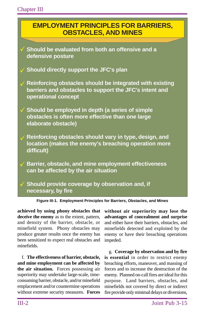<span id="page-30-0"></span>

| <b>EMPLOYMENT PRINCIPLES FOR BARRIERS,</b><br><b>OBSTACLES, AND MINES</b>                                                                     |
|-----------------------------------------------------------------------------------------------------------------------------------------------|
| Should be evaluated from both an offensive and a<br>defensive posture                                                                         |
| Should directly support the JFC's plan                                                                                                        |
| Reinforcing obstacles should be integrated with existing<br>barriers and obstacles to support the JFC's intent and<br>operational concept     |
| Should be employed in depth (a series of simple<br>obstacles is often more effective than one large<br>elaborate obstacle)                    |
| Reinforcing obstacles should vary in type, design, and<br>location (makes the enemy's breaching operation more<br>difficult)                  |
| Barrier, obstacle, and mine employment effectiveness<br>can be affected by the air situation                                                  |
| Should provide coverage by observation and, if<br>necessary, by fire<br>Figure III-1 Fmployment Principles for Barriers, Obstacles, and Mines |

**Figure III-1. Employment Principles for Barriers, Obstacles, and Mines**

**achieved by using phony obstacles that deceive the enemy** as to the extent, pattern, and density of the barrier, obstacle, or minefield system. Phony obstacles may produce greater results once the enemy has been sensitized to expect real obstacles and minefields.

f. **The effectiveness of barrier, obstacle, and mine employment can be affected by the air situation.** Forces possessing air superiority may undertake large-scale, timeconsuming barrier, obstacle, and/or minefield emplacement and/or countermine operations without extreme security measures. **Forces** **without air superiority may lose the advantages of concealment and surprise** and either have their barriers, obstacles, and minefields detected and exploited by the enemy or have their breaching operations impeded.

g. **Coverage by observation and by fire is essential** in order to restrict enemy breaching efforts, maneuver, and massing of forces and to increase the destruction of the enemy. Planned on-call fires are ideal for this purpose. Land barriers, obstacles, and minefields not covered by direct or indirect fire provide only minimal delays or diversions,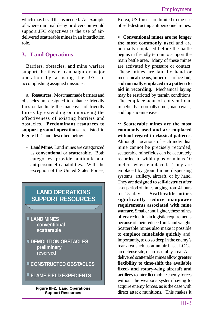<span id="page-31-0"></span>which may be all that is needed. An example of where minimal delay or diversion would support JFC objectives is the use of airdelivered scatterable mines in an interdiction role.

## **3. Land Operations**

Barriers, obstacles, and mine warfare support the theater campaign or major operation by assisting the JFC in accomplishing assigned missions.

a. **Resources.** Most manmade barriers and obstacles are designed to enhance friendly fires or facilitate the maneuver of friendly forces by extending or improving the effectiveness of existing barriers and obstacles. **Predominant resources to support ground operations** are listed in Figure III-2 and described below:

• **Land Mines.** Land mines are categorized as **conventional** or **scatterable**. Both categories provide antitank and antipersonnel capabilities. With the exception of the United States Forces,



**Support Resources**

Korea, US forces are limited to the use of self-destructing antipersonnel mines.

•• **Conventional mines are no longer the most commonly used** and are normally emplaced before the battle begins in friendly terrain to support the main battle area. Many of these mines are activated by pressure or contact. These mines are laid by hand or mechanical means, buried or surface laid, and **normally emplaced in a pattern to aid in recording**. Mechanical laying may be restricted by terrain conditions. The emplacement of conventional minefields is normally time-, manpower-, and logistic-intensive.

•• **Scatterable mines are the most commonly used and are emplaced without regard to classical patterns.** Although locations of each individual mine cannot be precisely recorded, scatterable minefields can be accurately recorded to within plus or minus 10 meters when emplaced. They are emplaced by ground mine dispensing systems, artillery, aircraft, or by hand. They are **designed to self-destruct** after a set period of time, ranging from 4 hours to 15 days. **Scatterable mines significantly reduce manpower requirements associated with mine warfare.** Smaller and lighter, these mines offer a reduction in logistic requirements because of their reduced bulk and weight. Scatterable mines also make it possible to **emplace minefields quickly** and, importantly, to do so deep in the enemy's rear area such as at an air base, LOCs, air defense site, or an assembly area. Airdelivered scatterable mines allow **greater flexibility to time-shift the available fixed- and rotary-wing aircraft and artillery** to interdict mobile enemy forces without the weapons system having to acquire enemy forces, as is the case with direct attack munitions. This makes it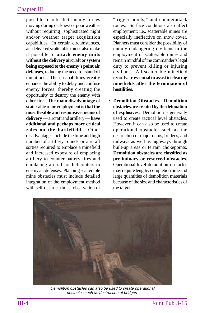possible to interdict enemy forces moving during darkness or poor weather without requiring sophisticated night and/or weather target acquisition capabilities. In certain circumstances, air-delivered scatterable mines also make it possible to **attack enemy units without the delivery aircraft or system being exposed to the enemy's point air defenses**, reducing the need for standoff munitions. These capabilities greatly enhance the ability to delay and confuse enemy forces, thereby creating the opportunity to destroy the enemy with other fires. **The main disadvantage** of scatterable mine employment **is that the most flexible and responsive means of delivery** — aircraft and artillery — **have additional and perhaps more critical roles on the battlefield**. Other disadvantages include the time and high number of artillery rounds or aircraft sorties required to emplace a minefield and increased exposure of emplacing artillery to counter battery fires and emplacing aircraft or helicopters to enemy air defenses. Planning scatterable mine obstacles must include detailed integration of the employment method with self-destruct times, observation of

"trigger points," and counterattack routes. Surface conditions also affect employment; i.e., scatterable mines are especially ineffective on snow cover. Planners must consider the possibility of unduly endangering civilians in the employment of scatterable mines and remain mindful of the commander's legal duty to prevent killing or injuring civilians. All scatterable minefield records are **essential to assist in clearing minefields after the termination of hostilities**.

• **Demolition Obstacles. Demolition obstacles are created by the detonation of explosives.** Demolition is generally used to create tactical level obstacles. However, it can also be used to create operational obstacles such as the destruction of major dams, bridges, and railways as well as highways through built-up areas or terrain chokepoints. **Demolition obstacles are classified as preliminary or reserved obstacles.** Operational-level demolition obstacles may require lengthy completion time and large quantities of demolition materials because of the size and characteristics of the target.



Demolition obstacles can also be used to create operational obstacles such as destruction of bridges.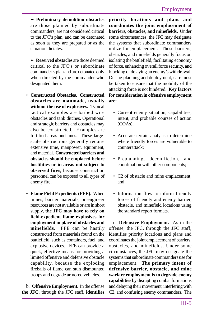•• **Preliminary demolition obstacles** are those planned by subordinate commanders, are not considered critical to the JFC's plan, and can be detonated as soon as they are prepared or as the situation dictates.

•• **Reserved obstacles** are those deemed critical to the JFC's or subordinate commander's plan and are detonated only when directed by the commander who designated them.

- **Constructed Obstacles. Constructed obstacles are manmade, usually without the use of explosives.** Typical tactical examples are barbed wire obstacles and tank ditches. Operational and strategic barriers and obstacles may also be constructed. Examples are fortified areas and lines. These largescale obstructions generally require extensive time, manpower, equipment, and material. **Constructed barriers and obstacles should be emplaced before hostilities or in areas not subject to observed fires**, because construction personnel can be exposed to all types of enemy fire.
- **Flame Field Expedients (FFE).** When mines, barrier materials, or engineer resources are not available or are in short supply, **the JFC may have to rely on field-expedient flame explosives for employment in place of obstacles and minefields**. FFE can be hastily constructed from materials found on the battlefield, such as containers, fuel, and explosive devices. FFE can provide a quick, effective means for providing a limited offensive and defensive obstacle capability, because the exploding fireballs of flame can stun dismounted troops and degrade armored vehicles.

b. **Offensive Employment.** In the offense **the JFC**, through the JFC staff, **identifies**

**priority locations and plans and coordinates the joint emplacement of barriers, obstacles, and minefields.** Under some circumstances, the JFC may designate the systems that subordinate commanders utilize for emplacement. These barriers, obstacles, and minefields generally focus on isolating the battlefield, facilitating economy of force, enhancing overall force security, and blocking or delaying an enemy's withdrawal. During planning and deployment, care must be taken to ensure that the mobility of the attacking force is not hindered. **Key factors for consideration in offensive employment are:**

- Current enemy situation, capabilities, intent, and probable courses of action (COAs);
- Accurate terrain analysis to determine where friendly forces are vulnerable to counterattack;
- Preplanning, deconfliction, and coordination with other components;
- C2 of obstacle and mine emplacement; and
- Information flow to inform friendly forces of friendly and enemy barrier, obstacle, and minefield locations using the standard report formats.

c. **Defensive Employment.** As in the offense, the JFC, through the JFC staff, identifies priority locations and plans and coordinates the joint emplacement of barriers, obstacles, and minefields. Under some circumstances, the JFC may designate the systems that subordinate commanders use for emplacement. **The primary intent of defensive barrier, obstacle, and mine warfare employment is to degrade enemy capabilities** by disrupting combat formations and delaying their movement, interfering with C2, and confusing enemy commanders. The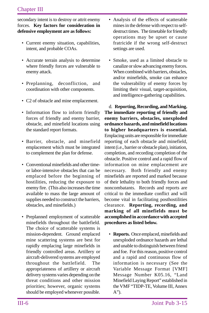## Chapter III

secondary intent is to destroy or attrit enemy forces. **Key factors for consideration in defensive employment are as follows:**

- Current enemy situation, capabilities, intent, and probable COAs.
- Accurate terrain analysis to determine where friendly forces are vulnerable to enemy attack.
- Preplanning, deconfliction, and coordination with other components.
- C2 of obstacle and mine emplacement.
- Information flow to inform friendly forces of friendly and enemy barrier, obstacle, and minefield locations using the standard report formats.
- Barrier, obstacle, and minefield emplacement which must be integrated to complement the plan for defense.
- Conventional minefields and other timeor labor-intensive obstacles that can be emplaced before the beginning of hostilities, reducing the exposure to enemy fire. (This also increases the time available to mass the large amount of supplies needed to construct the barriers, obstacles, and minefields.)
- Preplanned employment of scatterable minefields throughout the battlefield. The choice of scatterable systems is mission-dependent. Ground emplaced mine scattering systems are best for rapidly emplacing large minefields in friendly controlled areas. Artillery or aircraft-delivered systems are employed throughout the battlefield. The appropriateness of artillery or aircraft delivery systems varies depending on the threat conditions and other mission priorities; however, organic systems should be employed whenever possible.
- Analysis of the effects of scatterable mines in the defense with respect to selfdestruct times. The timetable for friendly operations may be upset or cause fratricide if the wrong self-destruct settings are used.
- Smoke, used as a limited obstacle to canalize or slow advancing enemy forces. When combined with barriers, obstacles, and/or minefields, smoke can enhance the vulnerability of enemy forces by limiting their visual, target-acquisition, and intelligence-gathering capabilities.

d. **Reporting, Recording, and Marking. The immediate reporting of friendly and enemy barriers, obstacles, unexploded ordnance hazards, and minefield locations to higher headquarters is essential.** Emplacing units are responsible for immediate reporting of each obstacle and minefield, intent (i.e., barrier or obstacle plan), initiation, completion, and recording completion of the obstacle. Positive control and a rapid flow of information on mine emplacement are necessary. Both friendly and enemy minefields are reported and marked because of their lethality to both friendly forces and noncombatants. Records and reports are critical to the immediate conflict and will become vital in facilitating posthostilities clearance. **Reporting, recording, and marking of all minefields must be accomplished in accordance with accepted procedures as listed below.**

• **Reports.** Once emplaced, minefields and unexploded ordnance hazards are lethal and unable to distinguish between friend and foe. For this reason, positive control and a rapid and continuous flow of information is necessary (See the Variable Message Format [VMF] Message Number K05.16, "Land Minefield Laying Report" established in the VMF "TIDP-TE, Volume III, Annex A").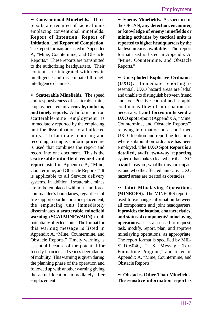•• **Conventional Minefields.** Three reports are required of tactical units emplacing conventional minefields: **Report of Intention**, **Report of Initiation**, and **Report of Completion**. The report formats are listed in Appendix A, "Mine, Countermine, and Obstacle Reports." These reports are transmitted to the authorizing headquarters. Their contents are integrated with terrain intelligence and disseminated through intelligence channels.

•• **Scatterable Minefields.** The speed and responsiveness of scatterable-mine employment require **accurate, uniform, and timely reports**. All information on scatterable-mine employment is immediately reported by the emplacing unit for dissemination to all affected units. To facilitate reporting and recording, a simple, uniform procedure is used that combines the report and record into one document. This is the **scatterable minefield record and report** listed in Appendix A, "Mine, Countermine, and Obstacle Reports." It is applicable to all Service delivery systems. In addition, if scatterable mines are to be emplaced within a land force commander's boundaries, regardless of fire support coordination line placement, the emplacing unit immediately disseminates a **scatterable minefield warning (SCATMINEWARN)** to all potentially affected units. The format for this warning message is listed in Appendix A, "Mine, Countermine, and Obstacle Reports." Timely warning is essential because of the potential for friendly fratricide and serious degradation of mobility. This warning is given during the planning phase of the operation and followed up with another warning giving the actual location immediately after emplacement.

•• **Enemy Minefields.** As specified in the OPLAN, **any detection, encounter, or knowledge of enemy minefields or mining activities by tactical units is reported to higher headquarters by the fastest means available**. The report format used is listed in Appendix A, "Mine, Countermine, and Obstacle Reports."

•• **Unexploded Explosive Ordnance (UXO).** Immediate reporting is essential. UXO hazard areas are lethal and unable to distinguish between friend and foe. Positive control and a rapid, continuous flow of information are necessary. **Land forces units send a UXO spot report** (Appendix A, "Mine, Countermine, and Obstacle Reports") relaying information on a confirmed UXO location and reporting locations where submunition ordnance has been employed. **The UXO Spot Report is a detailed, swift, two-way reporting system** that makes clear where the UXO hazard areas are, what the mission impact is, and who the affected units are. UXO hazard areas are treated as obstacles.

•• **Joint Minelaying Operations (MINEOPS).** The MINEOPS report is used to exchange information between all components and joint headquarters. **It provides the location, characteristics, and status of components' minelaying operations.** It is also used to request, task, modify, report, plan, and approve minelaying operations, as appropriate. The report format is specified by MIL-STD-6040, "U.S. Message Text Formatting Program," and listed in Appendix A, "Mine, Countermine, and Obstacle Reports."

•• **Obstacles Other Than Minefields. The sensitive information report is**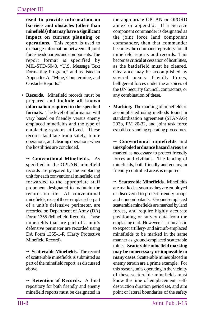**used to provide information on barriers and obstacles (other than minefields) that may have a significant impact on current planning or operations.** This report is used to exchange information between all joint force headquarters and components. The report format is specified by MIL-STD-6040, "U.S. Message Text Formatting Program," and as listed in Appendix A, "Mine, Countermine, and Obstacle Reports."

• **Records.** Minefield records must be prepared and **include all known information required in the specified formats.** The level of information will vary based on friendly versus enemy emplaced minefields and the type of emplacing systems utilized. These records facilitate troop safety, future operations, and clearing operations when the hostilities are concluded.

•• **Conventional Minefields.** As specified in the OPLAN, minefield records are prepared by the emplacing unit for each conventional minefield and forwarded to the appropriate staff proponent designated to maintain the records on file. All conventional minefields, except those emplaced as part of a unit's defensive perimeter, are recorded on Department of Army (DA) Form 1355 (Minefield Record). Those minefields that are part of a unit's defensive perimeter are recorded using DA Form 1355-1-R (Hasty Protective Minefield Record).

•• **Scatterable Minefields.** The record of scatterable minefields is submitted as part of the minefield report, as discussed above.

•• **Retention of Records.** A final repository for both friendly and enemy minefield reports must be designated in

the appropriate OPLAN or OPORD annex or appendix. If a Service component commander is designated as the joint force land component commander, then that commander becomes the command repository for all minefield reports and records. This becomes critical at cessation of hostilities, as the battlefield must be cleared. Clearance may be accomplished by several means: friendly forces, belligerent forces under the auspices of the UN Security Council, contractors, or any combination of these.

• **Marking.** The marking of minefields is accomplished using methods found in standardization agreement (STANAG) 203b, FM 20-32, and joint task force established standing operating procedures.

•• **Conventional minefields** and **unexploded ordnance hazard areas** are marked as necessary to protect friendly forces and civilians. The fencing of minefields, both friendly and enemy, in friendly controlled areas is required.

•• **Scatterable Minefields.** Minefields are marked as soon as they are employed or discovered to protect friendly troops and noncombatants. Ground-emplaced scatterable minefields are marked by land forces, and require highly accurate positioning or survey data from the emplacing unit. However, it is unrealistic to expect artillery- and aircraft-emplaced minefields to be marked in the same manner as ground-emplaced scatterable mines. **Scatterable minefield marking may be unnecessary or impossible in many cases.** Scatterable mines placed in enemy terrain are a prime example. For this reason, units operating in the vicinity of these scatterable minefields must know the time of emplacement, selfdestruction duration period set, and aim point or lateral boundaries of the safety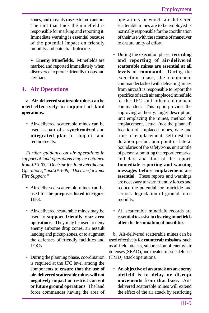zones, and must also use extreme caution. The unit that finds the minefield is responsible for marking and reporting it. Immediate warning is essential because of the potential impact on friendly mobility and potential fratricide.

•• **Enemy Minefields.** Minefields are marked and reported immediately when discovered to protect friendly troops and civilians.

## **4. Air Operations**

a. **Air-delivered scatterable mines can be used effectively in support of land operations.**

• Air-delivered scatterable mines can be used as part of a **synchronized** and **integrated plan** to support land requirements.

*Further guidance on air operations in support of land operations may be obtained from JP 3-03, "Doctrine for Joint Interdiction Operations," and JP 3-09, "Doctrine for Joint Fire Support."*

- Air-delivered scatterable mines can be used for the **purposes listed in Figure III-3**.
- Air-delivered scatterable mines may be used to **support friendly rear area operations**. They may be used to deny enemy airborne drop zones, air assault landing and pickup zones, or to augment the defenses of friendly facilities and LOCs.
- During the planning phase, coordination is required at the JFC level among the components to **ensure that the use of air-delivered scatterable mines will not negatively impact or restrict current or future ground operations**. The land force commander having the area of

operations in which air-delivered scatterable mines are to be employed is normally responsible for the coordination of their use with the scheme of maneuver to ensure unity of effort.

- During the execution phase, **recording and reporting of air-delivered scatterable mines are essential at all levels of command.** During the execution phase, the component commander tasked with delivering mines from aircraft is responsible to report the specifics of each air emplaced minefield to the JFC and other component commanders. This report provides the approving authority, target description, unit emplacing the mines, method of emplacement, actual (not the planned) location of emplaced mines, date and time of emplacement, self-destruct duration period, aim point or lateral boundaries of the safety zone, unit or title of person submitting the report, remarks, and date and time of the report. **Immediate reporting and warning messages before emplacement are essential.** These reports and warnings are necessary to warn friendly forces and reduce the potential for fratricide and serious degradation of ground force mobility.
- All scatterable minefield records are **essential to assist in clearing minefields after the termination of hostilities**.

b. Air-delivered scatterable mines can be used effectively for **counterair missions**, such as airfield attacks, suppression of enemy air defenses (SEAD), and theater missile defense (TMD) attack operations.

• **An objective of an attack on an enemy airfield is to delay or disrupt movements from that base.** Airdelivered scatterable mines will extend the effect of the air attack by restricting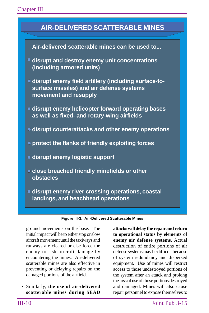## Chapter III



### **Figure III-3. Air-Delivered Scatterable Mines**

ground movements on the base. The initial impact will be to either stop or slow aircraft movement until the taxiways and runways are cleared or else force the enemy to risk aircraft damage by encountering the mines. Air-delivered scatterable mines are also effective in preventing or delaying repairs on the damaged portions of the airfield.

• Similarly, **the use of air-delivered scatterable mines during SEAD**

**attacks will delay the repair and return to operational status by elements of enemy air defense systems**. Actual destruction of entire portions of air defense systems may be difficult because of system redundancy and dispersed equipment. Use of mines will restrict access to those undestroyed portions of the system after an attack and prolong the loss of use of those portions destroyed and damaged. Mines will also cause repair personnel to expose themselves to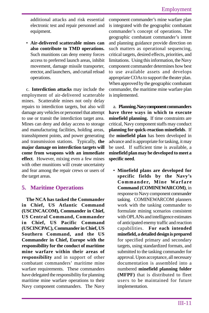additional attacks and risk essential electronic test and repair personnel and equipment.

• **Air-delivered scatterable mines can also contribute to TMD operations.** Such munitions can deny enemy forces access to preferred launch areas, inhibit movement, damage missile transporter, erector, and launchers, and curtail reload operations.

c. **Interdiction attacks** may include the employment of air-delivered scatterable mines. Scatterable mines not only delay repairs to interdiction targets, but also will damage any vehicles or personnel that attempt to use or transit the interdiction target area. Mines can deny and delay access to storage and manufacturing facilities, holding areas, transshipment points, and power generating and transmission stations. Typically, **the major damage on interdiction targets will come from weapons with an immediate effect**. However, mixing even a few mines with other munitions will create uncertainty and fear among the repair crews or users of the target areas.

## **5. Maritime Operations**

**The NCA has tasked the Commander in Chief, US Atlantic Command (USCINCACOM), Commander in Chief, US Central Command, Commander in Chief, US Pacific Command (USCINCPAC), Commander in Chief, US Southern Command, and the US Commander in Chief, Europe with the responsibility for the conduct of maritime mine warfare within their areas of responsibility** and in support of other combatant commanders' maritime mine warfare requirements. These commanders have delegated the responsibility for planning maritime mine warfare operations to their Navy component commanders. The Navy

component commander's mine warfare plan is integrated with the geographic combatant commander's concept of operations. The geographic combatant commander's intent and planning guidance provide direction on such matters as operational sequencing, critical targets, desired effects, priorities, and limitations. Using this information, the Navy component commander determines how best to use available assets and develops appropriate COAs to support the theater plan. When approved by the geographic combatant commander, the maritime mine warfare plan is implemented.

a. **Planning.Navy component commanders have three ways in which to execute minefield planning.** If time constraints are critical, Navy component staffs may conduct **planning for quick-reaction minefields**. If the **minefield plan** has been developed in advance and is appropriate for tasking, it may be used. If sufficient time is available, a **minefield plan may be developed to meet a specific need**.

• **Minefield plans are developed for specific fields by the Navy's Commander, Mine Warfare Command (COMINEWARCOM)**, in response to Navy component commander tasking. COMINEWARCOM planners work with the tasking commander to formulate mining scenarios consistent with OPLANs and intelligence estimates of anticipated enemy traffic and reaction capabilities. **For each intended minefield, a detailed design is prepared** for specified primary and secondary targets, using standardized formats, and submitted to the tasking commander for approval. Upon acceptance, all necessary documentation is assembled into a numbered **minefield planning folder (MFPF)** that is distributed to fleet users to be maintained for future implementation.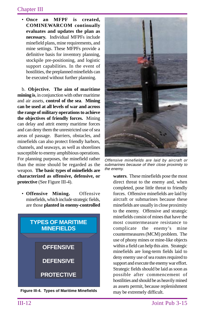## Chapter III

• **Once an MFPF is created, COMINEWARCOM continually evaluates and updates the plan as necessary.** Individual MFPFs include minefield plans, mine requirements, and mine settings. These MFPFs provide a definitive basis for inventory planning, stockpile pre-positioning, and logistic support capabilities. In the event of hostilities, the preplanned minefields can be executed without further planning.

b. **Objective. The aim of maritime mining is**, in conjunction with other maritime and air assets, **control of the sea**. **Mining can be used at all levels of war and across the range of military operations to achieve the objectives of friendly forces.** Mining can delay and attrit enemy maritime forces and can deny them the unrestricted use of sea areas of passage. Barriers, obstacles, and minefields can also protect friendly harbors, channels, and seaways, as well as shorelines susceptible to enemy amphibious operations. For planning purposes, the minefield rather than the mine should be regarded as the weapon. **The basic types of minefields are characterized as offensive, defensive, or protective** (See Figure III-4).

• **Offensive Mining.** Offensive minefields, which include strategic fields, are those **planted in enemy-controlled**



**Figure III-4. Types of Maritime Minefields**



Offensive minefields are laid by aircraft or submarines because of their close proximity to the enemy.

**waters**. These minefields pose the most direct threat to the enemy and, when completed, pose little threat to friendly forces. Offensive minefields are laid by aircraft or submarines because these minefields are usually in close proximity to the enemy. Offensive and strategic minefields consist of mines that have the most countermeasure resistance to complicate the enemy's mine countermeasures (MCM) problem. The use of phony mines or mine-like objects within a field can help this aim. Strategic minefields are long-term fields laid to deny enemy use of sea routes required to support and execute the enemy war effort. Strategic fields should be laid as soon as possible after commencement of hostilities and should be as heavily mined as assets permit, because replenishment may be extremely difficult.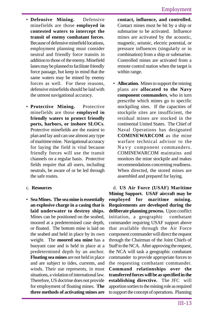- **Defensive Mining.** Defensive minefields are those **employed in contested waters to intercept the transit of enemy combatant forces**. Because of defensive minefield locations, employment planning must consider neutral and friendly force transits in addition to those of the enemy. Minefield lanes may be planned to facilitate friendly force passage, but keep in mind that the same waters may be mined by enemy forces as well. For these reasons, defensive minefields should be laid with the utmost navigational accuracy.
- **Protective Mining.** Protective minefields are those **employed in friendly waters to protect friendly ports, harbors, or inshore SLOCs**. Protective minefields are the easiest to plan and lay and can use almost any type of maritime mine. Navigational accuracy for laying the field is vital because friendly forces will use the transit channels on a regular basis. Protective fields require that all users, including neutrals, be aware of or be led through the safe routes.

#### c. **Resources**

• **Sea Mines. The sea mine is essentially an explosive charge in a casing that is laid underwater to destroy ships.** Mines can be positioned on the seabed, moored at a predetermined case depth, or floated. The bottom mine is laid on the seabed and held in place by its own weight. The **moored sea mine** has a buoyant case and is held in place at a predetermined depth by an anchor. **Floating sea mines** are not held in place and are subject to tides, currents, and winds. Their use represents, in most situations, a violation of international law. Therefore, US doctrine does not provide for employment of floating mines. **The three methods of activating mines are**

**contact, influence, and controlled.** Contact mines must be hit by a ship or submarine to be activated. Influence mines are activated by the acoustic, magnetic, seismic, electric potential, or pressure influences (singularly or in combination) from a ship or submarine. Controlled mines are activated from a remote control station when the target is within range.

• **Allocation.** Mines to support the mining plans are **allocated to the Navy component commanders**, who in turn prescribe which mines go to specific stockpiling sites. If the capacities of stockpile sites are insufficient, the residual mines are stocked in the continental United States. The Chief of Naval Operations has designated **COMINEWARCOM** as the mine warfare technical advisor to the Navy component commanders. COMINEWARCOM maintains and monitors the mine stockpile and makes recommendations concerning readiness. When directed, the stored mines are assembled and prepared for laying.

d. **US Air Force (USAF) Maritime Mining Support. USAF aircraft may be employed for maritime mining. Requirements are developed during the deliberate planning process.** Upon conflict initiation, a geographic combatant commander requiring USAF support above that available through the Air Force component commander will direct the request through the Chairman of the Joint Chiefs of Staff to the NCA. After approving the request, the NCA will task a geographic combatant commander to provide appropriate forces to the requesting combatant commander. **Command relationships over the transferred forces will be as specified in the establishing directive.** The JFC will apportion sorties to the mining role as required to support the concept of operations. Planning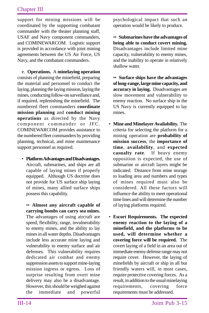support for mining missions will be coordinated by the supporting combatant commander with the theater planning staff, USAF and Navy component commanders, and COMINEWARCOM. Logistic support is provided in accordance with joint mining agreements between the US Air Force, US Navy, and the combatant commanders.

e. **Operations.** A **minelaying operation** consists of planning the minefield, preparing the material and personnel to conduct the laying, planning the laying mission, laying the mines, conducting follow-on surveillance and, if required, replenishing the minefield. The numbered fleet commanders **coordinate mission planning** and **conduct mining operations** as directed by the Navy component commander or JFC. COMINEWARCOM provides assistance to the numbered fleet commanders by providing planning, technical, and mine maintenance support personnel as required.

• **Platform Advantages and Disadvantages.** Aircraft, submarines, and ships are all capable of laying mines if properly equipped. Although US doctrine does not provide for US surface ship laying of mines, many allied surface ships possess this capability.

•• **Almost any aircraft capable of carrying bombs can carry sea mines.** The advantages of using aircraft are speed, flexibility, range, invulnerability to enemy mines, and the ability to lay mines in all water depths. Disadvantages include less accurate mine laying and vulnerability to enemy surface and air defenses. This vulnerability requires dedicated air combat and enemy suppression assets to support mine-laying mission ingress or egress. Loss of surprise resulting from overt mine delivery may also be a disadvantage. However, this should be weighed against the immediate and powerful

psychological impact that such an operation would be likely to produce.

•• **Submarines have the advantages of being able to conduct covert mining.** Disadvantages include limited mine capacity, vulnerability to enemy mines, and the inability to operate in relatively shallow water.

•• **Surface ships have the advantages of long-range, large mine capacity, and accuracy in laying.** Disadvantages are slow movement and vulnerability to enemy reaction. No surface ship in the US Navy is currently equipped to lay mines.

- **Mine and Minelayer Availability.** The criteria for selecting the platform for a mining operation are **probability of mission success**, the **importance of time**, **availability**, and **expected casualty rate**. If heavy enemy opposition is expected, the use of submarine or aircraft layers might be indicated. Distance from mine storage to loading area and numbers and types of mines required must also be considered. All these factors will influence the ability to meet operational time lines and will determine the number of laying platforms required.
- **Escort Requirements. The expected enemy reaction to the laying of a minefield, and the platforms to be used, will determine whether a covering force will be required.** The covert laying of a field in an area out of immediate enemy defense range may not require cover. However, the laying of minefields by aircraft or ship in all but friendly waters will, in most cases, require protective covering forces. As a result, in addition to the usual minelaying requirements, covering force requirements must be addressed.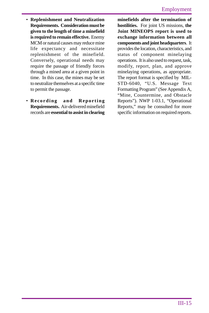- **Replenishment and Neutralization Requirements. Consideration must be given to the length of time a minefield is required to remain effective.** Enemy MCM or natural causes may reduce mine life expectancy and necessitate replenishment of the minefield. Conversely, operational needs may require the passage of friendly forces through a mined area at a given point in time. In this case, the mines may be set to neutralize themselves at a specific time to permit the passage.
- **Recording and Reporting Requirements.** Air-delivered minefield records are **essential to assist in clearing**

**minefields after the termination of hostilities.** For joint US missions, **the Joint MINEOPS report is used to exchange information between all components and joint headquarters**. It provides the location, characteristics, and status of component minelaying operations. It is also used to request, task, modify, report, plan, and approve minelaying operations, as appropriate. The report format is specified by MIL-STD-6040, "U.S. Message Text Formatting Program" (See Appendix A, "Mine, Countermine, and Obstacle Reports"). NWP 1-03.1, "Operational Reports," may be consulted for more specific information on required reports.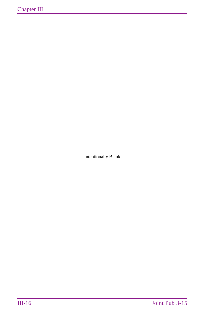Intentionally Blank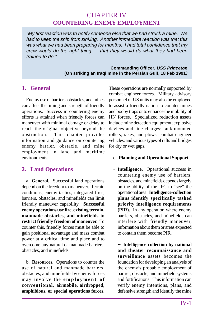# CHAPTER IV **COUNTERING ENEMY EMPLOYMENT**

"My first reaction was to notify someone else that we had struck a mine. We had to keep the ship from sinking. Another immediate reaction was that this was what we had been preparing for months. I had total confidence that my crew would do the right thing — that they would do what they had been trained to do."

> **Commanding Officer, USS Princeton (On striking an Iraqi mine in the Persian Gulf, 18 Feb 1991)**

## **1. General**

Enemy use of barriers, obstacles, and mines can affect the timing and strength of friendly operations. Success in countering enemy efforts is attained when friendly forces can maneuver with minimal damage or delay to reach the original objective beyond the obstruction. This chapter provides information and guidance on countering enemy barrier, obstacle, and mine employment in land and maritime environments.

## **2. Land Operations**

a. **General.** Successful land operations depend on the freedom to maneuver. Terrain conditions, enemy tactics, integrated fires, barriers, obstacles, and minefields can limit friendly maneuver capability. **Successful enemy operations use fire, existing terrain, manmade obstacles, and minefields to restrict friendly freedom of maneuver.** To counter this, friendly forces must be able to gain positional advantage and mass combat power at a critical time and place and to overcome any natural or manmade barriers, obstacles, and minefields.

b. **Resources.** Operations to counter the use of natural and manmade barriers, obstacles, and minefields by enemy forces may involve the **employment of conventional, airmobile, airdropped, amphibious, or special operations forces**.

These operations are normally supported by combat engineer forces. Military advisory personnel or US units may also be employed to assist a friendly nation to counter mines and booby traps or to enhance the mobility of HN forces. Specialized reduction assets include mine detection equipment; explosive devices and line charges; tank-mounted rollers, rakes, and plows; combat engineer vehicles; and various types of rafts and bridges for dry or wet gaps.

### c. **Planning and Operational Support**

• **Intelligence.** Operational success in countering enemy use of barriers, obstacles, and minefields depends largely on the ability of the JFC to "see" the operational area. **Intelligence-collection plans identify specifically tasked priority intelligence requirements (PIR).** In any operation where enemy barriers, obstacles, and minefields can interfere with friendly maneuver, information about them or areas expected to contain them become PIR.

•• **Intelligence collection by national and theater reconnaissance and surveillance** assets becomes the foundation for developing an analysis of the enemy's probable employment of barrier, obstacle, and minefield systems and fortifications. This information can verify enemy intentions, plans, and defensive strength and identify the mine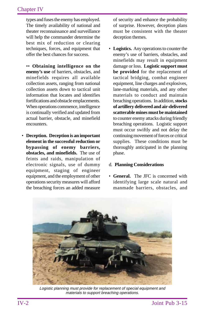types and fuses the enemy has employed. The timely availability of national and theater reconnaissance and surveillance will help the commander determine the best mix of reduction or clearing techniques, forces, and equipment that offer the best chances for success.

•• **Obtaining intelligence on the enemy's use** of barriers, obstacles, and minefields requires all available collection assets, ranging from national collection assets down to tactical unit information that locates and identifies fortifications and obstacle emplacements. When operations commence, intelligence is continually verified and updated from actual barrier, obstacle, and minefield encounters.

• **Deception. Deception is an important element in the successful reduction or bypassing of enemy barriers, obstacles, and minefields.** The use of feints and raids, manipulation of electronic signals, use of dummy equipment, staging of engineer equipment, and the employment of other operations security measures will afford the breaching forces an added measure

of security and enhance the probability of surprise. However, deception plans must be consistent with the theater deception themes.

• **Logistics.** Any operations to counter the enemy's use of barriers, obstacles, and minefields may result in equipment damage or loss. **Logistic support must be provided** for the replacement of tactical bridging, combat engineer equipment, line charges and explosives, lane-marking materials, and any other materials to conduct and maintain breaching operations. In addition, **stocks of artillery delivered and air-delivered scatterable mines must be maintained** to counter enemy attacks during friendly breaching operations. Logistic support must occur swiftly and not delay the continuing movement of forces or critical supplies. These conditions must be thoroughly anticipated in the planning phase.

#### d. **Planning Considerations**

• **General.** The JFC is concerned with identifying large scale natural and manmade barriers, obstacles, and



Logistic planning must provide for replacement of special equipment and materials to support breaching operations.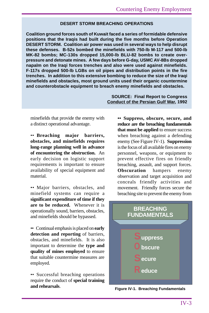#### **DESERT STORM BREACHING OPERATIONS**

**Coalition ground forces south of Kuwait faced a series of formidable defensive positions that the Iraqis had built during the five months before Operation DESERT STORM. Coalition air power was used in several ways to help disrupt these defenses. B-52s bombed the minefields with 750-lb M-117 and 500-lb MK-82 bombs; MC-130s dropped 15,000-lb BLU-82 bombs to create overpressure and detonate mines. A few days before G-day, USMC AV-8Bs dropped napalm on the Iraqi forces trenches and also were used against minefields. F-117s dropped 500-lb LGBs on oil pipes and distribution points in the fire trenches. In addition to this extensive bombing to reduce the size of the Iraqi minefields and obstacles, most ground units used their organic countermine and counterobstacle equipment to breach enemy minefields and obstacles.**

minefields that provide the enemy with a distinct operational advantage.

•• **Breaching major barriers, obstacles, and minefields requires long-range planning well in advance of encountering the obstruction.** An early decision on logistic support requirements is important to ensure availability of special equipment and material.

•• Major barriers, obstacles, and minefield systems can require a **significant expenditure of time if they are to be reduced.** Whenever it is operationally sound, barriers, obstacles, and minefields should be bypassed.

•• Continual emphasis is placed on **early detection and reporting** of barriers, obstacles, and minefields. It is also important to determine the **type and quality of mines employed** to ensure that suitable countermine measures are employed.

•• Successful breaching operations require the conduct of **special training and rehearsals**.

**SOURCE: Final Report to Congress Conduct of the Persian Gulf War, 1992**

> **•• Suppress, obscure, secure, and reduce are the breaching fundamentals that must be applied** to ensure success when breaching against a defending enemy (See Figure IV-1). **Suppression** is the focus of all available fires on enemy personnel, weapons, or equipment to prevent effective fires on friendly breaching, assault, and support forces. **Obscuration** hampers enemy observation and target acquisition and conceals friendly activities and movement. Friendly forces secure the breaching site to prevent the enemy from



**Figure IV-1. Breaching Fundamentals**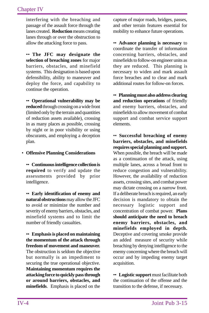interfering with the breaching and passage of the assault force through the lanes created. **Reduction** means creating lanes through or over the obstruction to allow the attacking force to pass.

•• **The JFC may designate the selection of breaching zones** for major barriers, obstacles, and minefield systems. This designation is based upon defensibility, ability to maneuver and deploy the force, and capability to continue the operation.

•• **Operational vulnerability may be reduced** through crossing on a wide front (limited only by the terrain and quantities of reduction assets available), crossing in as many places as possible, crossing by night or in poor visibility or using obscurants, and employing a deception plan.

• **Offensive Planning Considerations**

•• **Continuous intelligence collection is required** to verify and update the assessments provided by prior intelligence.

•• **Early identification of enemy and natural obstructions** may allow the JFC to avoid or minimize the number and severity of enemy barriers, obstacles, and minefield systems and to limit the number of friendly casualties.

•• **Emphasis is placed on maintaining the momentum of the attack through freedom of movement and maneuver.** The obstruction is seldom the objective but normally is an impediment to securing the true operational objective. **Maintaining momentum requires the attacking force to quickly pass through or around barriers, obstacles, and minefields**. Emphasis is placed on the capture of major roads, bridges, passes, and other terrain features essential for mobility to enhance future operations.

•• **Advance planning is necessary** to coordinate the transfer of information concerning barriers, obstacles, and minefields to follow-on engineer units as they are reduced. This planning is necessary to widen and mark assault force breaches and to clear and mark additional routes for follow-on forces.

•• **Planning must also address clearing and reduction operations** of friendly and enemy barriers, obstacles, and minefields to allow movement of combat support and combat service support elements.

•• **Successful breaching of enemy barriers, obstacles, and minefields requires special planning and support.** When possible, the breach will be made as a continuation of the attack, using multiple lanes, across a broad front to reduce congestion and vulnerability. However, the availability of reduction assets, crossing sites, and combat power may dictate crossing on a narrow front. If a deliberate breach is required, an early decision is mandatory to obtain the necessary logistic support and concentration of combat power. **Plans should anticipate the need to breach enemy barriers, obstacles, and minefields employed in depth.** Deceptive and covering smoke provide an added measure of security while breaching by denying intelligence to the enemy concerning where the breach will occur and by impeding enemy target acquisition.

•• **Logistic support** must facilitate both the continuation of the offense and the transition to the defense, if necessary.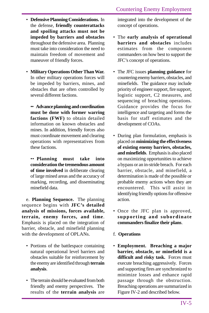- **Defensive Planning Considerations.** In the defense, **friendly counterattacks and spoiling attacks must not be impeded by barriers and obstacles** throughout the defensive area. Planning must take into consideration the need to maintain freedom of movement and maneuver of friendly forces.
- **Military Operations Other Than War.** In other military operations forces will be impeded by barriers, mines, and obstacles that are often controlled by several different factions.

•• **Advance planning and coordination must be done with former warring factions (FWF)** to obtain detailed information on known obstacles and mines. In addition, friendly forces also must coordinate movement and clearing operations with representatives from these factions.

•• **Planning must take into consideration the tremendous amount of time involved** in deliberate clearing of large mined areas and the accuracy of marking, recording, and disseminating minefield data.

e. **Planning Sequence.** The planning sequence begins with **JFC's detailed analysis of missions, forces available, terrain, enemy forces, and time**. Emphasis is placed on the integration of barrier, obstacle, and minefield planning with the development of OPLANs.

- Portions of the battlespace containing natural operational level barriers and obstacles suitable for reinforcement by the enemy are identified through **terrain analysis**.
- The terrain should be evaluated from both friendly and enemy perspectives. The results of the **terrain analysis** are

integrated into the development of the concept of operations.

- The **early analysis of operational barriers and obstacles** includes estimates from the component commanders on how best to support the JFC's concept of operations.
- The JFC issues **planning guidance** for countering enemy barriers, obstacles, and minefields. The guidance may include priority of engineer support, fire support, logistic support, C2 measures, and sequencing of breaching operations. Guidance provides the focus for intelligence and targeting and forms the basis for staff estimates and the development of COAs.
- During plan formulation, emphasis is placed on **minimizing the effectiveness of existing enemy barriers, obstacles, and minefields**. Emphasis is also placed on maximizing opportunities to achieve a bypass or an in-stride breach. For each barrier, obstacle, and minefield, a determination is made of the possible or probable enemy actions when they are encountered. This will assist in identifying friendly options for offensive action.
- Once the JFC plan is approved, **supporting and subordinate commanders finalize their plans**.
- f. **Operations**
- **Employment. Breaching a major barrier, obstacle, or minefield is a difficult and risky task.** Forces must execute breaching aggressively. Forces and supporting fires are synchronized to minimize losses and enhance rapid passage through the obstruction. Breaching operations are summarized in Figure IV-2 and described below.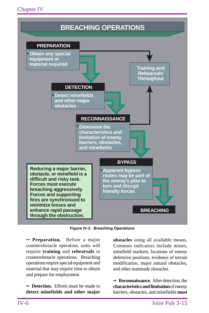## Chapter IV



**Figure IV-2. Breaching Operations**

•• **Preparation.** Before a major counterobstacle operation, units will require **training** and **rehearsals** in counterobstacle operations. Breaching operations require special equipment and material that may require time to obtain and prepare for employment.

•• **Detection.** Efforts must be made to **detect minefields and other major** **obstacles** using all available means. Common indicators include mines, minefield markers, locations of enemy defensive positions, evidence of terrain modification, major natural obstacles, and other manmade obstacles.

•• **Reconnaissance.** After detection, the **characteristics and limitation** of enemy barriers, obstacles, and minefields **must**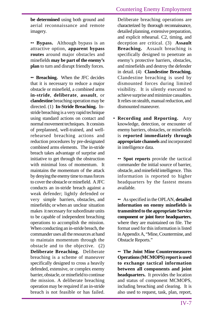**be determined** using both ground and aerial reconnaissance and remote imagery.

•• **Bypass.** Although bypass is an attractive option, **apparent bypass routes** around major obstacles and minefields **may be part of the enemy's plan** to turn and disrupt friendly forces.

•• **Breaching.** When the JFC decides that it is necessary to reduce a major obstacle or minefield, a combined arms **in-stride**, **deliberate**, **assault**, or **clandestine** breaching operation may be directed. (1) **In-Stride Breaching.** Instride breaching is a very rapid technique using standard actions on contact and normal movement techniques. It consists of preplanned, well-trained, and wellrehearsed breaching actions and reduction procedures by pre-designated combined arms elements. The in-stride breach takes advantage of surprise and initiative to get through the obstruction with minimal loss of momentum. It maintains the momentum of the attack by denying the enemy time to mass forces to cover the obstacle or minefield. A JFC conducts an in-stride breach against a weak defender; lightly defended or very simple barriers, obstacles, and minefields; or when an unclear situation makes it necessary for subordinate units to be capable of independent breaching operations to accomplish the mission. When conducting an in-stride breach, the commander uses all the resources at hand to maintain momentum through the obstacle and to the objective. (2) **Deliberate Breaching.** Deliberate breaching is a scheme of maneuver specifically designed to cross a heavily defended, extensive, or complex enemy barrier, obstacle, or minefield to continue the mission. A deliberate breaching operation may be required if an in-stride breach is not feasible or has failed.

Deliberate breaching operations are characterized by thorough reconnaissance, detailed planning, extensive preparation, and explicit rehearsal. C2, timing, and deception are critical. (3) **Assault Breaching.** Assault breaching is specifically designed to penetrate an enemy's protective barriers, obstacles, and minefields and destroy the defender in detail. (4) **Clandestine Breaching.** Clandestine breaching is used by dismounted forces during limited visibility. It is silently executed to achieve surprise and minimize casualties. It relies on stealth, manual reduction, and dismounted maneuver.

• **Recording and Reporting.** Any knowledge, detection, or encounter of enemy barriers, obstacles, or minefields is **reported immediately through appropriate channels** and incorporated in intelligence data.

•• **Spot reports** provide the tactical commander the initial source of barrier, obstacle, and minefield intelligence. This information is reported to higher headquarters by the fastest means available.

•• As specified in the OPLAN, **detailed information on enemy minefields is transmitted to the appropriate Service component or joint force headquarters**, where they are maintained on file. The format used for this information is listed in Appendix A, "Mine, Countermine, and Obstacle Reports."

•• **The Joint Mine Countermeasures Operations (MCMOPS) report is used to exchange tactical information between all components and joint headquarters.** It provides the location and status of component MCMOPS, including breaching and clearing. It is also used to request, task, plan, report,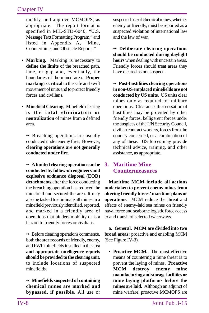modify, and approve MCMOPS, as appropriate. The report format is specified in MIL-STD-6040, "U.S. Message Text Formatting Program," and listed in Appendix A, "Mine, Countermine, and Obstacle Reports."

- **Marking.** Marking is necessary to **define the limits** of the breached path, lane, or gap and, eventually, the boundaries of the mined area. **Proper marking is critical** to the safe and swift movement of units and to protect friendly forces and civilians.
- **Minefield Clearing.** Minefield clearing is the **total elimination or neutralization** of mines from a defined area.

• Breaching operations are usually conducted under enemy fires. However, **clearing operations are not generally conducted under fire**.

•• **A limited clearing operation can be conducted by follow-on engineers and explosive ordnance disposal (EOD) detachments** after the force conducting the breaching operation has reduced the minefield and secured the area. It may also be tasked to eliminate all mines in a minefield previously identified, reported, and marked in a friendly area of operations that hinders mobility or is a hazard to friendly forces or civilians.

•• Before clearing operations commence, both **theater records** of friendly, enemy, and FWF minefields installed in the area **and appropriate intelligence reports should be provided to the clearing unit,** to include locations of suspected minefields.

•• **Minefields suspected of containing chemical mines are marked and bypassed, if possible.** All use or suspected use of chemical mines, whether enemy or friendly, must be reported as a suspected violation of international law and the law of war.

•• **Deliberate clearing operations should be conducted during daylight hours** when dealing with uncertain areas. Friendly forces should treat areas they have cleared as not suspect.

•• **Post-hostilities clearing operations in non-US emplaced minefields are not conducted by US units.** US units clear mines only as required for military operations. Clearance after cessation of hostilities may be provided by other friendly forces, belligerent forces under the auspices of the UN Security Council, civilian contract workers, forces from the country concerned, or a combination of any of these. US forces may provide technical advice, training, and other assistance, as appropriate.

## **3. Maritime Mine Countermeasures**

**Maritime MCM include all actions undertaken to prevent enemy mines from altering friendly forces' maritime plans or operations.** MCM reduce the threat and effects of enemy-laid sea mines on friendly naval force and seaborne logistic force access to and transit of selected waterways.

a. **General. MCM are divided into two broad areas:** proactive and enabling MCM (See Figure IV-3).

• **Proactive MCM.** The most effective means of countering a mine threat is to prevent the laying of mines. **Proactive MCM destroy enemy mine manufacturing and storage facilities or mine laying platforms before the mines are laid.** Although an adjunct of mine warfare, proactive MCMOPS are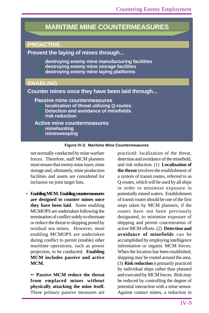# **MARITIME MINE COUNTERMEASURES**

## **PROACTIVE**

## **Prevent the laying of mines through...**

- **destroying enemy mine manufacturing facilities**
- **destroying enemy mine storage facilities**
- **destroying enemy mine laying platforms**

## **ENABLING**

## **Counter mines once they have been laid through...**

**Passive mine countermeasures**

- **localization of threat utilizing Q-routes**
- **Detection and avoidance of minefields**
- **risk reduction**

## **Active mine countermeasures**

- **minehunting**
- **minesweeping**

#### **Figure IV-3. Maritime Mine Countermeasures**

not normally conducted by mine warfare forces. Therefore, staff MCM planners must ensure that enemy mine layer, mine storage and, ultimately, mine production facilities and assets are considered for inclusion on joint target lists.

• **Enabling MCM. Enabling countermeasures are designed to counter mines once they have been laid**. Some enabling MCMOPS are undertaken following the termination of conflict solely to eliminate or reduce the threat to shipping posed by residual sea mines. However, most enabling MCMOPS are undertaken during conflict to permit (enable) other maritime operations, such as power projection, to be conducted. **Enabling MCM includes passive and active MCM.**

•• **Passive MCM reduce the threat from emplaced mines without physically attacking the mine itself.** Three primary passive measures are

practiced: localization of the threat, detection and avoidance of the minefield, and risk reduction. (1) **Localization of the threat** involves the establishment of a system of transit routes, referred to as Q-routes, which will be used by all ships in order to minimize exposure in potentially mined waters. Establishment of transit routes should be one of the first steps taken by MCM planners, if the routes have not been previously designated, to minimize exposure of shipping and permit concentration of active MCM efforts. (2) **Detection and avoidance of minefields** can be accomplished by employing intelligence information or organic MCM forces. When the location has been established, shipping may be routed around the area. (3) **Risk reduction** is primarily practiced by individual ships rather than planned and executed by MCM forces. Risk may be reduced by controlling the degree of potential interaction with a mine sensor. Against contact mines, a reduction in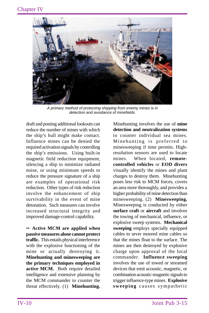

A primary method of protecting shipping from enemy mines is in detection and avoidance of minefields.

draft and posting additional lookouts can reduce the number of mines with which the ship's hull might make contact. Influence mines can be denied the required activation signals by controlling the ship's emissions. Using built-in magnetic field reduction equipment, silencing a ship to minimize radiated noise, or using minimum speeds to reduce the pressure signature of a ship are examples of operational risk reduction. Other types of risk reduction involve the enhancement of ship survivability in the event of mine detonation. Such measures can involve increased structural integrity and improved damage-control capability.

•• **Active MCM are applied when passive measures alone cannot protect traffic.** This entails physical interference with the explosive functioning of the mine or actually destroying it. **Minehunting and minesweeping are the primary techniques employed in active MCM.** Both require detailed intelligence and extensive planning by the MCM commander to counter the threat effectively. (1) **Minehunting.**

Minehunting involves the use of **mine detection and neutralization systems** to counter individual sea mines. Minehunting is preferred to minesweeping if time permits. Highresolution sensors are used to locate mines. When located, **remotecontrolled vehicles** or **EOD divers** visually identify the mines and plant charges to destroy them. Minehunting poses less risk to MCM forces, covers an area more thoroughly, and provides a higher probability of mine detection than minesweeping. (2) **Minesweeping.** Minesweeping is conducted by either **surface craft** or **aircraft** and involves the towing of mechanical, influence, or explosive sweep systems. **Mechanical sweeping** employs specially equipped cables to sever moored mine cables so that the mines float to the surface. The mines are then destroyed by explosive charge upon approval of the local commander. **Influence sweeping** involves the use of towed or streamed devices that emit acoustic, magnetic, or combination acoustic-magnetic signals to trigger influence-type mines. **Explosive sweeping** causes sympathetic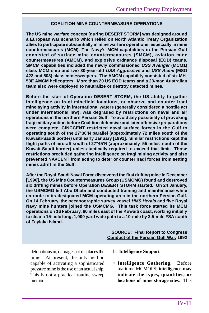#### **COALITION MINE COUNTERMEASURE OPERATIONS**

**The US mine warfare concept [during DESERT STORM] was designed around a European war scenario which relied on North Atlantic Treaty Organization allies to participate substantially in mine warfare operations, especially in mine countermeasures (MCM). The Navy's MCM capabilities in the Persian Gulf consisted of surface mine countermeasures (SMCM), aviation mine countermeasures (AMCM), and explosive ordnance disposal (EOD) teams. SMCM capabilities included the newly commissioned USS Avenger (MCM1) class MCM ship and two 30-year-old USS Aggressive and USS Acme (MSO 422 and 508) class minesweepers. The AMCM capability consisted of six MH-53E AMCM helicopters. More than 20 US EOD teams and a 23-man Australian team also were deployed to neutralize or destroy detected mines.**

**Before the start of Operation DESERT STORM, the US ability to gather intelligence on Iraqi minefield locations, or observe and counter Iraqi minelaying activity in international waters (generally considered a hostile act under international law), was degraded by restrictions on naval and air operations in the northern Persian Gulf. To avoid any possibility of provoking Iraqi military action before Coalition defensive and later offensive preparations were complete, CINCCENT restricted naval surface forces in the Gulf to operating south of the 27°30'N parallel (approximately 72 miles south of the Kuwaiti-Saudi border) until early January [1991]. Similar restrictions kept the flight paths of aircraft south of 27°45'N (approximately 55 miles south of the Kuwait-Saudi border) unless tactically required to exceed that limit. Those restrictions precluded gathering intelligence on Iraqi mining activity and also prevented NAVCENT from acting to deter or counter Iraqi forces from setting mines adrift in the Gulf.**

**After the Royal Saudi Naval Force discovered the first drifting mine in December [1990], the US Mine Countermeasures Group (USMCMG) found and destroyed six drifting mines before Operation DESERT STORM started. On 24 January, the USMCMG left Abu Dhabi and conducted training and maintenance while en route to its designated MCM operating area in the northern Persian Gulf. On 14 February, the oceanographic survey vessel HMS Herald and five Royal Navy mine hunters joined the USMCMG. This task force started its MCM operations on 16 February, 60 miles east of the Kuwaiti coast, working initially to clear a 15-mile long, 1,000 yard wide path to a 10-mile by 3.5-mile FSA south of Faylaka Island.**

detonations in, damages, or displaces the mine. At present, the only method capable of activating a sophisticated pressure mine is the use of an actual ship. This is not a practical routine sweep method.

**SOURCE: Final Report to Congress Conduct of the Persian Gulf War, 1992**

- b. **Intelligence Support**
- **Intelligence Gathering.** Before maritime MCMOPS, **intelligence may indicate the types, quantities, or locations of mine storage sites**. This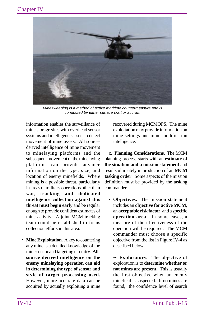

Minesweeping is a method of active maritime countermeasure and is conducted by either surface craft or aircraft.

information enables the surveillance of mine storage sites with overhead sensor systems and intelligence assets to detect movement of mine assets. All sourcederived intelligence of mine movement to minelaying platforms and the subsequent movement of the minelaying platforms can provide advance information on the type, size, and location of enemy minefields. Where mining is a possible threat, particularly in areas of military operations other than war, **tracking and dedicated intelligence collection against this threat must begin early** and be regular enough to provide confident estimates of mine activity. A joint MCM tracking team could be established to focus collection efforts in this area.

• **Mine Exploitation.** A key to countering any mine is a detailed knowledge of the mine sensor and targeting circuitry. **Allsource derived intelligence on the enemy minelaying operation can aid in determining the type of sensor and style of target processing used.** However, more accurate data can be acquired by actually exploiting a mine recovered during MCMOPS. The mine exploitation may provide information on mine settings and mine modification intelligence.

c. **Planning Considerations.** The MCM planning process starts with an **estimate of the situation and a mission statement** and results ultimately in production of an **MCM tasking order**. Some aspects of the mission definition must be provided by the tasking commander.

• **Objectives.** The mission statement includes an **objective for active MCM**, an **acceptable risk factor**, and a **specific operation area**. In some cases, a measure of the effectiveness of the operation will be required. The MCM commander must choose a specific objective from the list in Figure IV-4 as described below.

•• **Exploratory.** The objective of exploration is to **determine whether or not mines are present**. This is usually the first objective when an enemy minefield is suspected. If no mines are found, the confidence level of search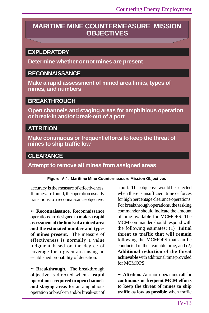# **MARITIME MINE COUNTERMEASURE MISSION OBJECTIVES**

## **EXPLORATORY**

**Determine whether or not mines are present**

## **RECONNAISSANCE**

**Make a rapid assessment of mined area limits, types of mines, and numbers**

## **BREAKTHROUGH**

**Open channels and staging areas for amphibious operation or break-in and/or break-out of a port**

## **ATTRITION**

**Make continuous or frequent efforts to keep the threat of mines to ship traffic low**

# **CLEARANCE**

**Attempt to remove all mines from assigned areas**

#### **Figure IV-4. Maritime Mine Countermeasure Mission Objectives**

accuracy is the measure of effectiveness. If mines are found, the operation usually transitions to a reconnaissance objective.

•• **Reconnaissance.** Reconnaissance operations are designed to **make a rapid assessment of the limits of a mined area and the estimated number and types of mines present**. The measure of effectiveness is normally a value judgment based on the degree of coverage for a given area using an established probability of detection.

•• **Breakthrough.** The breakthrough objective is directed when a **rapid operation is required to open channels and staging areas** for an amphibious operation or break-in and/or break-out of a port. This objective would be selected when there is insufficient time or forces for high percentage clearance operations. For breakthrough operations, the tasking commander should indicate the amount of time available for MCMOPS. The MCM commander should respond with the following estimates: (1) **Initial threat to traffic that will remain** following the MCMOPS that can be conducted in the available time; and (2) **Additional reduction of the threat achievable** with additional time provided for MCMOPS

•• **Attrition.** Attrition operations call for **continuous or frequent MCM efforts to keep the threat of mines to ship traffic as low as possible** when traffic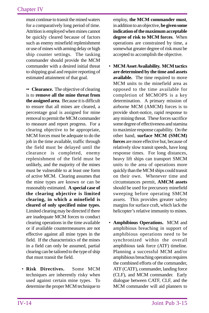must continue to transit the mined waters for a comparatively long period of time. Attrition is employed when mines cannot be quickly cleared because of factors such as enemy minefield replenishment or use of mines with arming delay or high ship counter settings. The tasking commander should provide the MCM commander with a desired initial threat to shipping goal and require reporting of estimated attainment of that goal.

•• **Clearance.** The objective of clearing is to **remove all the mine threat from the assigned area**. Because it is difficult to ensure that all mines are cleared, a percentage goal is assigned for mine removal to permit the MCM commander to measure and report progress. For a clearing objective to be appropriate, MCM forces must be adequate to do the job in the time available, traffic through the field must be delayed until the clearance is completed, enemy replenishment of the field must be unlikely, and the majority of the mines must be vulnerable to at least one form of active MCM. Clearing assumes that the mine types are known or can be reasonably estimated. **A special case of the clearing objective is limited clearing, in which a minefield is cleared of only specified mine types.** Limited clearing may be directed if there are inadequate MCM forces to conduct clearing operations in the time available or if available countermeasures are not effective against all mine types in the field. If the characteristics of the mines in a field can only be assumed, partial clearing can be tailored to the type of ship that must transit the field.

• **Risk Directives.** Some MCM techniques are inherently risky when used against certain mine types. To determine the proper MCM technique to

employ, **the MCM commander must**, in addition to an objective, **be given some indication of the maximum acceptable degree of risk to MCM forces**. When operations are constrained by time, a somewhat greater degree of risk must be accepted to accomplish the objective.

- **MCM Asset Availability. MCM tactics are determined by the time and assets available.** The time required to move MCM units to the minefield area as opposed to the time available for completion of MCMOPS is a key determination. A primary mission of airborne MCM (AMCM) forces is to provide short-notice, rapid response to any mining threat. These forces sacrifice some degree of effectiveness and stamina to maximize response capability. On the other hand, **surface MCM (SMCM) forces** are more effective but, because of relatively slow transit speeds, have long response times. For long distances, heavy lift ships can transport SMCM units to the area of operations more quickly than the MCM ships could transit on their own. Whenever time and circumstances permit, **AMCM assets** should be used for precursory minefield sweeping before operating SMCM assets. This provides greater safety margins for surface craft, which lack the helicopter's relative immunity to mines.
- **Amphibious Operations.** MCM and amphibious breaching in support of amphibious operations need to be synchronized within the overall amphibious task force (ATF) timeline. Planning a successful MCM and/or amphibious breaching operation requires the combined efforts of the commander, ATF (CATF), commander, landing force (CLF), and MCM commander. Early dialogue between CATF, CLF, and the MCM commander will aid planners to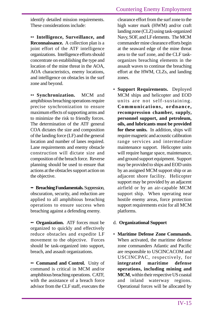identify detailed mission requirements. These considerations include:

•• **Intelligence, Surveillance, and Reconnaissance.** A collection plan is a joint effort of the ATF intelligence organizations. Intelligence efforts should concentrate on establishing the type and location of the mine threat in the AOA, AOA characteristics, enemy locations, and intelligence on obstacles in the surf zone and beyond.

•• **Synchronization.** MCM and amphibious breaching operations require precise synchronization to ensure maximum effects of supporting arms and to minimize the risk to friendly forces. The determination of the ATF general COA dictates the size and composition of the landing force (LF) and the general location and number of lanes required. Lane requirements and enemy obstacle construction will dictate size and composition of the breach force. Reverse planning should be used to ensure that actions at the obstacles support action on the objective.

•• **Breaching Fundamentals.** Suppression, obscuration, security, and reduction are applied to all amphibious breaching operations to ensure success when breaching against a defending enemy.

•• **Organization.** ATF forces must be organized to quickly and effectively reduce obstacles and expedite LF movement to the objective. Forces should be task-organized into support, breach, and assault organizations.

•• **Command and Control.** Unity of command is critical in MCM and/or amphibious breaching operations. CATF, with the assistance of a breach force advisor from the CLF staff, executes the

clearance effort from the surf zone to the high water mark (HWM) and/or craft landing zone (CLZ) using task-organized Navy, SOF, and LF elements. The MCM commander mine clearance efforts begin at the seaward edge of the mine threat area to the surf zone, and the CLF taskorganizes breaching elements in the assault waves to continue the breaching effort at the HWM, CLZs, and landing zones.

• **Support Requirements.** Deployed MCM ships and helicopter and EOD units are not self-sustaining. **Communications, ordnance, recompression chamber, supply, personnel support, and petroleum, oils, and lubricants must be provided for these units.** In addition, ships will require magnetic and acoustic calibration range services and intermediate maintenance support. Helicopter units will require hangar space, maintenance, and ground support equipment. Support may be provided to ships and EOD units by an assigned MCM support ship or an adjacent shore facility. Helicopter support may be provided by an adjacent airfield or by an air-capable MCM support ship. When operating near hostile enemy areas, force protection support requirements exist for all MCM platforms.

## d. **Organizational Support**

• **Maritime Defense Zone Commands.** When activated, the maritime defense zone commanders Atlantic and Pacific are responsible to USCINCACOM and USCINCPAC, respectively, for **integrated maritime defense operations, including mining and MCM**, within their respective US coastal and inland waterway regions. Operational forces will be allocated by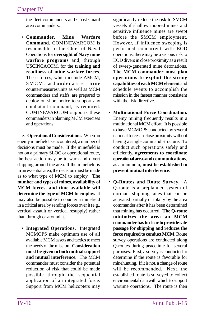the fleet commanders and Coast Guard area commanders.

• **Commander, Mine Warfare Command.** COMINEWARCOM is responsible to the Chief of Naval Operations for **oversight of Navy mine warfare programs** and, through USCINCACOM, for the **training and readiness of mine warfare forces**. These forces, which include AMCM, SMCM, and underwater mine countermeasures units as well as MCM commanders and staffs, are prepared to deploy on short notice to support any combatant command, as required. COMINEWARCOM supports these commanders in planning MCM exercises and operations.

e. **Operational Considerations.** When an enemy minefield is encountered, a number of decisions must be made. If the minefield is not on a primary SLOC or operational route, the best action may be to warn and divert shipping around the area. If the minefield is in an essential area, the decision must be made as to what type of MCM to employ. **The number and types of mines, availability of MCM forces, and time available will determine the type of MCM to employ.** It may also be possible to counter a minefield in a critical area by sending forces over it (e.g., vertical assault or vertical resupply) rather than through or around it.

• **Integrated Operations.** Integrated MCMOPS make optimum use of all available MCM assets and tactics to meet the needs of the mission. **Consideration must be given to both mutual support and mutual interference.** The MCM commander must consider the potential reduction of risk that could be made possible through the sequential application of an integrated force. Support from MCM helicopters may

significantly reduce the risk to SMCM vessels if shallow moored mines and sensitive influence mines are swept before the SMCM employment. However, if influence sweeping is performed concurrent with EOD operations, there may be a serious risk to EOD divers in close proximity as a result of sweep-generated mine detonations. **The MCM commander must plan operations to exploit the strong capabilities of each MCM element** and schedule events to accomplish the mission in the fastest manner consistent with the risk directive.

- **Multinational Force Coordination.** Enemy mining frequently results in a multinational MCM effort. It is possible to have MCMOPS conducted by several national forces in close proximity without having a single command structure. To conduct such operations safely and efficiently, **agreements to coordinate operational areas and communications**, as a minimum, **must be established to prevent mutual interference**.
- **Q-Routes and Route Survey.** A Q-route is a preplanned system of dormant shipping lanes that can be activated partially or totally by the area commander after it has been determined that mining has occurred. **The Q-route minimizes the area an MCM commander has to clear to provide safe passage for shipping and reduces the force required to conduct MCM.** Route survey operations are conducted along Q-routes during peacetime for several purposes. First, a survey is conducted to determine if the route is favorable for minehunting. If it is not, a change of route will be recommended. Next, the established route is surveyed to collect environmental data with which to support wartime operations. The route is then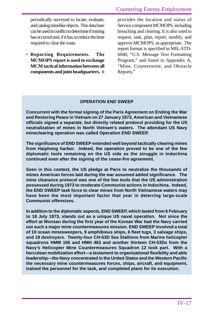periodically surveyed to locate, evaluate, and catalog minelike objects. This data base can be used in conflict to determine if mining has occurred and, if it has, to reduce the time required to clear the route.

• **Reporting Requirements. The MCMOPS report is used to exchange MCM tactical information between all components and joint headquarters.** It

provides the location and status of Service component MCMOPS, including breaching and clearing. It is also used to request, task, plan, report, modify, and approve MCMOPS, as appropriate. The report format is specified in MIL-STD-6040, "U.S. Message Text Formatting Program," and listed in Appendix A, "Mine, Countermine, and Obstacle Reports."

#### **OPERATION END SWEEP**

**Concurrent with the formal signing of the Paris Agreement on Ending the War and Restoring Peace in Vietnam on 27 January 1973, American and Vietnamese officials signed a separate, but directly related protocol providing for the US neutralization of mines in North Vietnam's waters. The attendant US Navy mineclearing operation was called Operation END SWEEP.**

**The significance of END SWEEP extended well beyond tactically clearing mines from Haiphong harbor. Indeed, the operation proved to be one of the few diplomatic tools remaining on the US side as the struggle in Indochina continued even after the signing of the cease-fire agreement.**

**Seen in this context, the US pledge at Paris to neutralize the thousands of mines American forces laid during the war assumed added significance. The mine clearance protocol was one of the few tools that the US administration possessed during 1973 to moderate Communist actions in Indochina. Indeed, the END SWEEP task force to clear mines from North Vietnamese waters may have been the most important factor that year in deterring large-scale Communist offensives.**

**In addition to the diplomatic aspects, END SWEEP, which lasted from 6 February to 18 July 1973, stands out as a unique US naval operation. Not since the effort at Wonsan during the first year of the Korean War had the Navy carried out such a major mine countermeasures mission. END SWEEP involved a total of 10 ocean minesweepers, 9 amphibious ships, 6 fleet tugs, 3 salvage ships, and 19 destroyers. Twenty-four CH-53D Sea Stallions from Marine helicopter squadrons HMM 165 and HMH 463 and another thirteen CH-53Ds from the Navy's Helicopter Mine Countermeasures Squadron 12 took part. With a herculean mobilization effort—a testament to organizational flexibility and able leadership—the Navy concentrated in the United States and the Western Pacific the necessary mine countermeasures forces, ships, aircraft, and equipment, trained the personnel for the task, and completed plans for its execution.**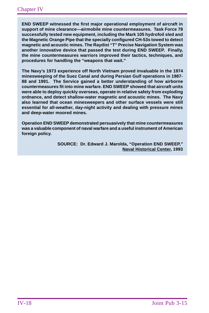**END SWEEP witnessed the first major operational employment of aircraft in support of mine clearance—airmobile mine countermeasures. Task Force 78 successfully tested new equipment, including the Mark 105 hydrofoil sled and the Magnetic Orange Pipe that the specially configured CH-53s towed to detect magnetic and acoustic mines. The Raydist "T" Precise Navigation System was another innovative device that passed the test during END SWEEP. Finally, the mine countermeasures warriors improved their tactics, techniques, and procedures for handling the "weapons that wait."**

**The Navy's 1973 experience off North Vietnam proved invaluable in the 1974 minesweeping of the Suez Canal and during Persian Gulf operations in 1987- 88 and 1991. The Service gained a better understanding of how airborne countermeasures fit into mine warfare. END SWEEP showed that aircraft units were able to deploy quickly overseas, operate in relative safety from exploding ordnance, and detect shallow-water magnetic and acoustic mines. The Navy also learned that ocean minesweepers and other surface vessels were still essential for all-weather, day-night activity and dealing with pressure mines and deep-water moored mines.**

**Operation END SWEEP demonstrated persuasively that mine countermeasures was a valuable component of naval warfare and a useful instrument of American foreign policy.**

> **SOURCE: Dr. Edward J. Marolda, "Operation END SWEEP," Naval Historical Center, 1993**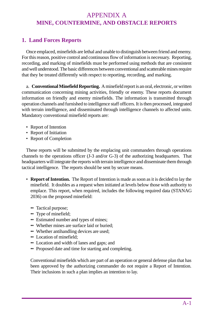# APPENDIX A **MINE, COUNTERMINE, AND OBSTACLE REPORTS**

## **1. Land Forces Reports**

Once emplaced, minefields are lethal and unable to distinguish between friend and enemy. For this reason, positive control and continuous flow of information is necessary. Reporting, recording, and marking of minefields must be performed using methods that are consistent and well understood. The basic differences between conventional and scatterable mines require that they be treated differently with respect to reporting, recording, and marking.

a. **Conventional Minefield Reporting.** A minefield report is an oral, electronic, or written communication concerning mining activities, friendly or enemy. These reports document information on friendly and enemy minefields. The information is transmitted through operation channels and furnished to intelligence staff officers. It is then processed, integrated with terrain intelligence, and disseminated through intelligence channels to affected units. Mandatory conventional minefield reports are:

- Report of Intention
- Report of Initiation
- Report of Completion

These reports will be submitted by the emplacing unit commanders through operations channels to the operations officer (J-3 and/or G-3) of the authorizing headquarters. That headquarters will integrate the reports with terrain intelligence and disseminate them through tactical intelligence. The reports should be sent by secure means.

- **Report of Intention.** The Report of Intention is made as soon as it is decided to lay the minefield. It doubles as a request when initiated at levels below those with authority to emplace. This report, when required, includes the following required data (STANAG 2036) on the proposed minefield:
	- Tactical purpose;
	- •• Type of minefield;
	- Estimated number and types of mines;
	- •• Whether mines are surface laid or buried;
	- •• Whether antihandling devices are used;
	- Location of minefield;
	- •• Location and width of lanes and gaps; and
	- •• Proposed date and time for starting and completing.

Conventional minefields which are part of an operation or general defense plan that has been approved by the authorizing commander do not require a Report of Intention. Their inclusions in such a plan implies an intention to lay.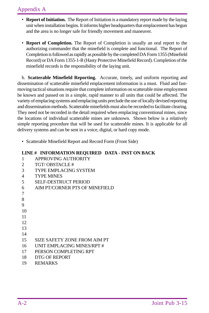- **Report of Initiation.** The Report of Initiation is a mandatory report made by the laying unit when installation begins. It informs higher headquarters that emplacement has begun and the area is no longer safe for friendly movement and maneuver.
- **Report of Completion.** The Report of Completion is usually an oral report to the authorizing commander that the minefield is complete and functional. The Report of Completion is followed as rapidly as possible by the completed DA Form 1355 (Minefield Record) or DA Form 1355-1-R (Hasty Protective Minefield Record). Completion of the minefield records is the responsibility of the laying unit.

b. **Scatterable Minefield Reporting.** Accurate, timely, and uniform reporting and dissemination of scatterable minefield emplacement information is a must. Fluid and fastmoving tactical situations require that complete information on scatterable mine employment be known and passed on in a simple, rapid manner to all units that could be affected. The variety of emplacing systems and emplacing units preclude the use of locally devised reporting and dissemination methods. Scatterable minefields must also be recorded to facilitate clearing. They need not be recorded in the detail required when emplacing conventional mines, since the locations of individual scatterable mines are unknown. Shown below is a relatively simple reporting procedure that will be used for scatterable mines. It is applicable for all delivery systems and can be sent in a voice, digital, or hard copy mode.

• Scatterable Minefield Report and Record Form (Front Side)

## **LINE # INFORMATION REQUIRED DATA - INST ON BACK**

| 1  | APPROVING AUTHORITY            |
|----|--------------------------------|
| 2  | TGT/OBSTACLE#                  |
| 3  | <b>TYPE EMPLACING SYSTEM</b>   |
| 4  | <b>TYPE MINES</b>              |
| 5  | <b>SELF-DESTRUCT PERIOD</b>    |
| 6  | AIM PT/CORNER PTS OF MINEFIELD |
| 7  |                                |
| 8  |                                |
| 9  |                                |
| 10 |                                |
| 11 |                                |
| 12 |                                |
| 13 |                                |
| 14 |                                |
| 15 | SIZE SAFETY ZONE FROM AIM PT   |
| 16 | UNIT EMPLACING MINES/RPT #     |
| 17 | PERSON COMPLETING RPT          |
| 18 | DTG OF REPORT                  |
| 19 | <b>REMARKS</b>                 |
|    |                                |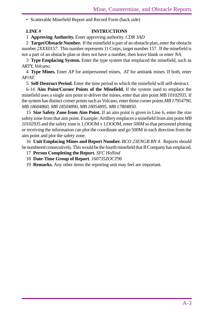• Scatterable Minefield Report and Record Form (back side)

#### **LINE # INSTRUCTIONS**

1 **Approving Authority.** Enter approving authority. *CDR 3AD*

2 **Target/Obstacle Number.** If the minefield is part of an obstacle plan, enter the obstacle number *2XXX0157.* This number represents 11 Corps, target number 157. If the minefield is not a part of an obstacle plan or does not have a number, then leave blank or enter *NA.*

3 **Type Emplacing System.** Enter the type system that emplaced the minefield, such as *ARTY, Volcano.*

4 **Type Mines.** Enter AP for antipersonnel mines, *AT* for antitank mines. If both, enter *AP/AT.*

5 **Self-Destruct Period.** Enter the time period in which the minefield will self-destruct.

6-14 **Aim Point/Corner Points of the Minefield.** If the system used to emplace the minefield uses a single aim point to deliver the mines, enter that aim point *MB 10102935.* If the system has distinct corner points such as Volcano, enter those corner points *MB 17954790, MB 18604860, MB 18504890, MB 18054895, MB 17804850.*

15 **Size Safety Zone from Aim Point.** If an aim point is given in Line 6, enter the size safety zone from that aim point. Example: Artillery emplaces a minefield from aim point *MB 10102935* and the safety zone is 1,OOOM x 1,OOOM, enter *500M* so that personnel plotting or receiving the information can plot the coordinate and go 500M in each direction from the aim point and plot the safety zone.

16 **Unit Emplacing Mines and Report Number.** *BCO 23ENGB BN 4.* Reports should be numbered consecutively. This would be the fourth minefield that B Company has emplaced.

17 **Person Completing the Report.** *SFC Hollind*

18 **Date-Time Group of Report***. 160735ZOCT96*

19 **Remarks.** Any other items the reporting unit may feel are important.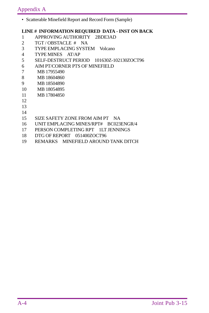• Scatterable Minefield Report and Record Form (Sample)

## **LINE # INFORMATION REQUIRED DATA - INST ON BACK**

- 1 APPROVING AUTHORITY 2BDE3AD
- 2 TGT / OBSTACLE # NA
- 3 TYPE EMPLACING SYSTEM Volcano
- 4 TYPE MINES AT/AP
- 5 SELF-DESTRUCT PERIOD 101630Z-102130ZOCT96
- 6 AIM PT/CORNER PTS OF MINEFIELD
- 7 MB 17955490
- 8 MB 18604860
- 9 MB 18504890
- 10 MB 18054895
- 11 MB 17804850
- 12
- 13
- 14
- 15 SIZE SAFETY ZONE FROM AIM PT NA
- 16 UNIT EMPLACING MINES/RPT# BC023ENGR/4
- 17 PERSON COMPLETING RPT 1LT JENNINGS
- 18 DTG OF REPORT 051400ZOCT96
- 19 REMARKS MINEFIELD AROUND TANK DITCH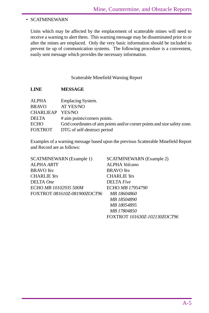#### • SCATMINEWARN

Units which may be affected by the emplacement of scatterable mines will need to receive a warning to alert them. This warning message may be disseminated prior to or after the mines are emplaced. Only the very basic information should be included to prevent tie up of communication systems. The following procedure is a convenient, easily sent message which provides the necessary information.

Scatterable Minefield Warning Report

#### **LINE MESSAGE**

| ALPHA            | <b>Emplacing System.</b>                                                  |
|------------------|---------------------------------------------------------------------------|
| <b>BRAVO</b>     | AT YES/NO                                                                 |
| CHARLIEAP YES/NO |                                                                           |
| DELTA            | # aim points/corners points.                                              |
| <b>ECHO</b>      | Grid coordinates of aim points and/or corner points and size safety zone. |
| FOXTROT          | DTG of self-destruct period                                               |

Examples of a warning message based upon the previous Scatterable Minefield Report and Record are as follows:

| <b>SCATMINEWARN</b> (Example 1) | <b>SCATMINEWARN</b> (Example 2) |
|---------------------------------|---------------------------------|
| <b>ALPHA ARTY</b>               | <b>ALPHA</b> <i>Volcano</i>     |
| <b>BRAVO</b> Yes                | <b>BRAVO</b> Yes                |
| <b>CHARLIE</b> Yes              | <b>CHARLIE</b> Yes              |
| DELTA One                       | <b>DELTA</b> Five               |
| ECHO MB 10102935 500M           | ECHO <i>MB</i> 17954790         |
| FOXTROT 081610Z-081900ZOCT96    | <i>MB 18604860</i>              |
|                                 | <i>MB 18504890</i>              |
|                                 | <i>MB 18054895</i>              |
|                                 | <i>MB 17804850</i>              |
|                                 | FOXTROT 101630Z-102130ZOCT96    |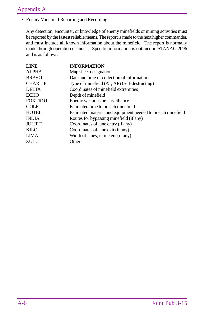• Enemy Minefield Reporting and Recording

Any detection, encounter, or knowledge of enemy minefields or mining activities must be reported by the fastest reliable means. The report is made to the next higher commander, and must include all known information about the minefield. The report is normally made through operation channels. Specific information is outlined in STANAG 2096 and is as follows:

| <b>LINE</b>    | <b>INFORMATION</b>                                          |
|----------------|-------------------------------------------------------------|
| <b>ALPHA</b>   | Map sheet designation                                       |
| <b>BRAVO</b>   | Date and time of collection of information                  |
| <b>CHARLIE</b> | Type of minefield (AT, AP) (self-destructing)               |
| <b>DELTA</b>   | Coordinates of minefield extremities                        |
| <b>ECHO</b>    | Depth of minefield                                          |
| <b>FOXTROT</b> | Enemy weapons or surveillance                               |
| GOLF           | Estimated time to breach minefield                          |
| <b>HOTEL</b>   | Estimated material and equipment needed to breach minefield |
| <b>INDIA</b>   | Routes for bypassing minefield (if any)                     |
| <b>JULIET</b>  | Coordinates of lane entry (if any)                          |
| KILO           | Coordinates of lane exit (if any)                           |
| LIMA           | Width of lanes, in meters (if any)                          |
| ZULU           | Other:                                                      |
|                |                                                             |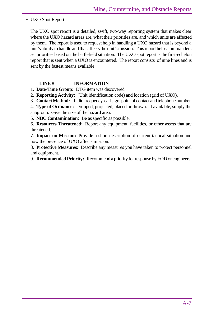#### • UXO Spot Report

The UXO spot report is a detailed, swift, two-way reporting system that makes clear where the UXO hazard areas are, what their priorities are, and which units are affected by them. The report is used to request help in handling a UXO hazard that is beyond a unit's ability to handle and that affects the unit's mission. This report helps commanders set priorities based on the battlefield situation. The UXO spot report is the first-echelon report that is sent when a UXO is encountered. The report consists of nine lines and is sent by the fastest means available.

#### **LINE # INFORMATION**

1. **Date-Time Group:** DTG item was discovered

2. **Reporting Activity:** (Unit identification code) and location (grid of UXO).

3. **Contact Method:** Radio frequency, call sign, point of contact and telephone number.

4. **Type of Ordnance:** Dropped, projected, placed or thrown. If available, supply the subgroup. Give the size of the hazard area.

5. **NBC Contamination:** Be as specific as possible.

6. **Resources Threatened:** Report any equipment, facilities, or other assets that are threatened.

7. **Impact on Mission:** Provide a short description of current tactical situation and how the presence of UXO affects mission.

8. **Protective Measures:** Describe any measures you have taken to protect personnel and equipment.

9. **Recommended Priority:** Recommend a priority for response by EOD or engineers.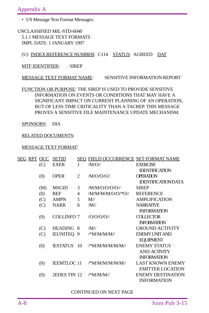• US Message Text Format Messages:

UNCLASSIFIED MIL-STD-6040 5.1.1 MESSAGE TEXT FORMATS IMPL DATE: 1 JANUARY 1997

#### (U) INDEX REFERENCE NUMBER: C114 STATUS: AGREED DAT

MTF IDENTIFIER: SIREP

MESSAGE TEXT FORMAT NAME: SENSITIVE INFORMATION REPORT

### FUNCTION OR PURPOSE: THE SIREP IS USED TO PROVIDE SENSITIVE INFORMATION ON EVENTS OR CONDITIONS THAT MAY HAVE A SIGNIFICANT IMPACT ON CURRENT PLANNING OF AN OPERATION, BUT OF LESS TIME CRITICALITY THAN A TACREP. THIS MESSAGE PROVES A SENSITIVE FILE MAINTENANCE UPDATE MECHANISM.

SPONSORS: DIA

RELATED DOCUMENTS:

#### MESSAGE TEXT FORMAT:

| <b>SEG RPT OCC</b> |     | <b>SETID</b>      |                | SEQ FIELD OCCURRENCE SET FORMAT NAME |                           |
|--------------------|-----|-------------------|----------------|--------------------------------------|---------------------------|
|                    | (C) | <b>EXER</b>       | 1              | $M/O$ //                             | <b>EXERCISE</b>           |
|                    |     |                   |                |                                      | <b>IDENTIFICATION</b>     |
|                    | (0) | <b>OPER</b>       | $\mathfrak{D}$ | /M/O/O/O//                           | <b>OPERATION</b>          |
|                    |     |                   |                |                                      | <b>IDENTIFICATIONDATA</b> |
|                    | (M) | <b>MSGID</b>      | 3              | /M/M/O/O/O/O//                       | <b>SIREP</b>              |
|                    | (0) | <b>REF</b>        | 4              | /M/M/M/M/O/O/*O//                    | <b>REFERENCE</b>          |
|                    | (C) | <b>AMPN</b>       | 5              | M/                                   | <b>AMPLIFICATION</b>      |
|                    | (C) | <b>NARR</b>       | 6              | /M/                                  | <b>NARRATIVE</b>          |
|                    |     |                   |                |                                      | <b>INFORMATION</b>        |
|                    | (0) | <b>COLLINFO 7</b> |                | $\overline{O/O/O/O}/O$               | <b>COLLECTOR</b>          |
|                    |     |                   |                |                                      | <b>INFORMATION</b>        |
|                    | (C) | HEADING 8         |                | $\mathcal{M}/\mathcal{N}$            | <b>GROUND ACTIVITY</b>    |
|                    | (C) | <b>IEUNITEQ 9</b> |                | /*M/M/M/M//                          | <b>ENEMY UNIT AND</b>     |
|                    |     |                   |                |                                      | <b>EQUIPMENT</b>          |
|                    | (0) | <b>IESTATUS</b>   | 10             | /*M/M/M/M/M/M/                       | <b>ENEMY STATUS</b>       |
|                    |     |                   |                |                                      | <b>AND ACTIVITY</b>       |
|                    |     |                   |                |                                      | <b>INFORMATION</b>        |
|                    | (0) | IEEMTLOC 11       |                | /*M/M/M/M/M/M/                       | <b>LAST KNOWN ENEMY</b>   |
|                    |     |                   |                |                                      | <b>EMITTER LOCATION</b>   |
|                    | (0) | 2EDES TIN 12      |                | $\frac{\mu_{\rm{N}}}{\mu_{\rm{N}}}$  | <b>ENEMY DESTINATION</b>  |
|                    |     |                   |                |                                      | <b>INFORMATION</b>        |

CONTINUED ON NEXT PAGE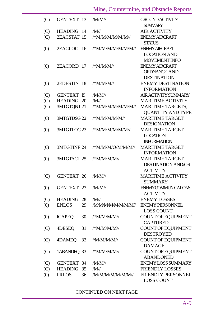# Mine, Countermine, and Obstacle Reports

| (C) | <b>GENTEXT 13</b> |     | /M/M/                             | <b>GROUND ACTIVITY</b>                 |
|-----|-------------------|-----|-----------------------------------|----------------------------------------|
|     |                   |     |                                   | <b>SUMMARY</b>                         |
| (C) | HEADING 14        |     | /M/                               | <b>AIR ACTIVITY</b>                    |
| (C) | 2EACSTAT 15       |     | /*M/M/M/M/M/M/                    | <b>ENEMY AIRCRAFT</b><br><b>STATUS</b> |
| (0) | 2EACLOC           | -16 | /*M/M/M/M/M/M/M/                  | <b>ENEMY AIRCRAFT</b>                  |
|     |                   |     |                                   | <b>LOCATION AND</b>                    |
|     |                   |     |                                   | <b>MOVEMENT INFO</b>                   |
| (0) | 2EACORD 17        |     | $/*M/M/M//$                       | <b>ENEMY AIRCRAFT</b>                  |
|     |                   |     |                                   | <b>ORDNANCE AND</b>                    |
|     |                   |     |                                   | <b>DESTINATION</b>                     |
| (0) | 2EDESTIN 18       |     | /*M/M/M//                         | <b>ENEMY DESTINATION</b>               |
|     |                   |     |                                   | <b>INFORMATION</b>                     |
| (C) | <b>GENTEXT 19</b> |     | /M/M/                             | <b>AIR ACTIVITY SUMMARY</b>            |
| (C) | HEADING 20        |     | /M/                               | <b>MARITIME ACTIVITY</b>               |
| (C) | 3MTGTQNT 21       |     | /*M/M/M/M/M/M/M/                  | MARITIME TARGETS,                      |
|     |                   |     |                                   | <b>QUANTITY AND TYPE</b>               |
| (0) | 3MTGTDSG 22       |     | /*M/M/M/M/M//                     | <b>MARITIME TARGET</b>                 |
|     |                   |     |                                   | <b>DESIGNATION</b>                     |
| (0) | 3MTGTLOC 23       |     | /*M/M/M/M/M/M/                    | <b>MARITIME TARGET</b>                 |
|     |                   |     |                                   | <b>LOCATION</b>                        |
|     |                   |     |                                   | <b>INFORMATION</b>                     |
| (0) | 3MTGTINF 24       |     | $\frac{\partial^* M}{M/M}/N/M/M}$ | <b>MARITIME TARGET</b>                 |
|     |                   |     |                                   | <b>INFORMATION</b>                     |
| (0) | 3MTGTACT 25       |     | $\frac{\mu}{M/M/M}$               | <b>MARITIME TARGET</b>                 |
|     |                   |     |                                   | <b>DESTINATION AND/OR</b>              |
|     |                   |     |                                   | <b>ACTIVITY</b>                        |
| (C) | <b>GENTEXT 26</b> |     | /M/M/                             | <b>MARITIME ACTIVITY</b>               |
|     |                   |     |                                   | <b>SUMMARY</b>                         |
| (0) | <b>GENTEXT 27</b> |     | /M/M/                             | <b>ENEMYCOMMUNICATIONS</b>             |
|     |                   |     |                                   | <b>ACTIVITY</b>                        |
| (C) | <b>HEADING</b>    | 28  | /M/                               | <b>ENEMY LOSSES</b>                    |
| (0) | <b>ENLOS</b>      | 29  | /M/M/M/M/M/M/M/                   | <b>ENEMY PERSONNEL</b>                 |
|     |                   | 30  |                                   | <b>LOSS COUNT</b>                      |
| (0) | <b>ICAPEQ</b>     |     | /*M/M/M/M//                       | COUNT OF EQUIPMENT<br><b>CAPTURED</b>  |
|     | 4DESEQ            | 31  | /*M/M/M/M//                       | COUNT OF EQUIPMENT                     |
| (C) |                   |     |                                   |                                        |
| (C) | 4DAMEQ 32         |     | $*M/M/M/M/$                       | DESTROYED<br>COUNT OF EQUIPMENT        |
|     |                   |     |                                   | <b>DAMAGE</b>                          |
| (C) | 1ABANDEQ 33       |     | /*M/M/M/M//                       | <b>COUNT OF EQUIPMENT</b>              |
|     |                   |     |                                   | <b>ABANDONED</b>                       |
| (C) | <b>GENTEXT 34</b> |     | /M/M/                             | <b>ENEMY LOSS SUMMARY</b>              |
| (C) | <b>HEADING</b>    | 35  | /M/                               | <b>FRIENDLY LOSSES</b>                 |
| (0) | <b>FRLOS</b>      | 36  | /M/M/M/M/M/M/M                    | FRIENDLY PERSONNEL                     |
|     |                   |     |                                   | <b>LOSS COUNT</b>                      |

CONTINUED ON NEXT PAGE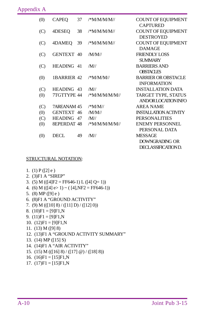### Appendix A

| (0) | <b>CAPEO</b>       | 37 | /*M/M/M/M//               | <b>COUNT OF EQUIPMENT</b>                    |
|-----|--------------------|----|---------------------------|----------------------------------------------|
| (C) | 4DESEQ             | 38 | /*M/M/M/M//               | <b>CAPTURED</b><br><b>COUNT OF EQUIPMENT</b> |
|     |                    |    |                           | <b>DESTROYED</b>                             |
| (C) | 4DAMEO             | 39 | /*M/M/M/M//               | <b>COUNT OF EQUIPMENT</b>                    |
|     |                    |    |                           | <b>DAMAGE</b>                                |
| (C) | GENTEXT 40         |    | $/M/M$ //                 | <b>FRIENDLY LOSS</b>                         |
|     |                    |    |                           | <b>SUMMARY</b>                               |
| (C) | HEADING 41         |    | /M/                       | <b>BARRIERS AND</b>                          |
|     |                    |    |                           | <b>OBSTACLES</b>                             |
| (0) | 1BARRIER 42        |    | /*M/M/M//                 | <b>BARRIER OR OBSTACLE</b>                   |
|     |                    |    |                           | <b>INFORMATION</b>                           |
| (C) | HEADING 43         |    | /M/                       | <b>INSTALLATION DATA</b>                     |
| (0) | 7TGTTYPE 44        |    | /*M/M/M/M/M//             | <b>TARGET TYPE, STATUS</b>                   |
|     |                    |    |                           | AND/OR LOCATION INFO                         |
| (C) | 7ARFANAM 45        |    | $/*M/M/$                  | <b>AREA NAME</b>                             |
| (0) | GENTEXT 46         |    | $/M/M$ //                 | <b>INSTALLATION ACTIVITY</b>                 |
| (C) | HEADING 47         |    | $\mathcal{M}/\mathcal{N}$ | <b>PERSONALITIES</b>                         |
| (0) | <b>8EPERDAT 48</b> |    | /*M/M/M/M/M//             | <b>ENEMY PERSONNEL</b>                       |
|     |                    |    |                           | PERSONAL DATA                                |
| (0) | DECL               | 49 | /M/                       | <b>MESSAGE</b>                               |
|     |                    |    |                           | DOWNGRADING OR                               |
|     |                    |    |                           | DECLASSIFICATION D.                          |
|     |                    |    |                           |                                              |

#### STRUCTURAL NOTATION:

- 1. (1)  $P([2] e)$
- 2. (3)F1 A "SIREP"
- 3. (5) M (( $[4]F2 = FF646-1$ ) L ( $[4]Q=1$ ))
- 4. (6) M (([4] e> 1) ~ ( [4], NF2 = FF646-1))
- 5. (8) MP ([9] e )
- 6. (8)F1 A "GROUND ACTIVITY"
- 7. (9) M (([10] 8) / ([11] D) / ([12] 0))
- 8.  $(10)F1 = [9]F1,N$
- 9.  $(11)F1 = [9]F1,N$
- 10.  $(12)F1 = [9]F1,N$
- 11. (13) M ([9] 8)
- 12. (13)F1 A "GROUND ACTIVITY SUMMARY"
- 13. (14) MP ([15] S)
- 14. (14)F1 A "AIR ACTIVITY"
- 15.  $(15) M ((16) 8) / ([17] \omega) / ([18] 8))$
- 16.  $(16)F1 = [15]F1,N$
- 17.  $(17)F1 = [15]F1,N$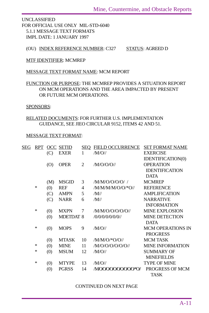UNCLASSIFIED FOR OFFICIAL USE ONLY MIL-STD-6040 5.1.1 MESSAGE TEXT FORMATS IMPL DATE: 1 JANUARY 1997

(OU) INDEX REFERENCE NUMBER: C327 STATUS: AGREED D

MTF IDENTIFIER: MCMREP

MESSAGE TEXT FORMAT NAME: MCM REPORT

#### FUNCTION OR PURPOSE: THE MCMREP PROVIDES A SITUATION REPORT ON MCM OPERATIONS AND THE AREA IMPACTED BY PRESENT OR FUTURE MCM OPERATIONS.

#### SPONSORS:

#### RELATED DOCUMENTS: FOR FURTHER U.S. IMPLEMENTATION GUIDANCE, SEE JIEO CIRCULAR 9152, ITEMS 42 AND 51.

#### MESSAGE TEXT FORMAT:

| SEG | <b>RPT</b> |     | <b>OCC SETID</b> | <b>SEO</b> | <b>FIELD OCCURRENCE</b> | <b>SET FORMAT NAME</b>   |
|-----|------------|-----|------------------|------------|-------------------------|--------------------------|
|     |            | (C) | <b>EXER</b>      | 1          | $M/O$ //                | <b>EXERCISE</b>          |
|     |            |     |                  |            |                         | IDENTIFICATION(0)        |
|     |            | (0) | <b>OPER</b>      | 2          | /M/O/O/O//              | <b>OPERATION</b>         |
|     |            |     |                  |            |                         | <b>IDENTIFICATION</b>    |
|     |            |     |                  |            |                         | <b>DATA</b>              |
|     |            | (M) | <b>MSGID</b>     | 3          | /M/M/O/O/O/O/ /         | <b>MCMREP</b>            |
|     | $\ast$     | (0) | <b>REF</b>       | 4          | /M/M/M/M/O/O/*O//       | <b>REFERENCE</b>         |
|     |            | (C) | <b>AMPN</b>      | 5          | /M/                     | <b>AMPLIFICATION</b>     |
|     |            | (C) | <b>NARR</b>      | 6          | /M/                     | <b>NARRATIVE</b>         |
|     |            |     |                  |            |                         | <b>INFORMATION</b>       |
|     | $\ast$     | (0) | <b>MXPN</b>      | 7          | /M/M/O/O/O/O/O//        | <b>MINE EXPLOSION</b>    |
|     |            | (0) | <b>MDETDAT 8</b> |            | /0/0/0/0/0/0/0//        | <b>MINE DETECTION</b>    |
|     |            |     |                  |            |                         | <b>DATA</b>              |
|     | *          | (0) | <b>MOPS</b>      | 9          | $M/O$ //                | <b>MCM OPERATIONS IN</b> |
|     |            |     |                  |            |                         | <b>PROGRESS</b>          |
|     |            | (0) | <b>MTASK</b>     | 10         | /M/M/O/*O/O//           | <b>MCM TASK</b>          |
|     | *          | (0) | <b>MINE</b>      | 11         | /M/O/O/O/O/O/O//        | <b>MINE INFORMATION</b>  |
|     | *          | (0) | <b>MSUM</b>      | 12         | $\frac{M}{O}$           | <b>SUMMARY OF</b>        |
|     |            |     |                  |            |                         | <b>MINEFIELDS</b>        |
|     | $\ast$     | (0) | <b>MTYPE</b>     | 13         | $M/O$ //                | TYPE OF MINE             |
|     |            | (0) | <b>PGRSS</b>     | 14         | /M0000000000*0/         | PROGRESS OF MCM          |
|     |            |     |                  |            |                         | <b>TASK</b>              |

#### CONTINUED ON NEXT PAGE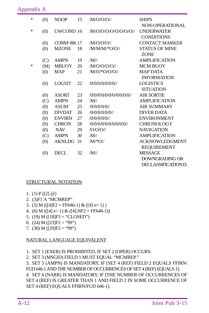| Appendix A |     |                  |    |                                  |                                                                |
|------------|-----|------------------|----|----------------------------------|----------------------------------------------------------------|
| *          | (0) | <b>NOOP</b>      | 15 | /M/O/O/O//                       | <b>SHIPS</b><br>NON-OPERATIONAL                                |
| *          | (0) | <b>UWCOND 16</b> |    | /M/O/O/O/O/O/O/O/O/O/            | <b>UNDERWATER</b><br><b>CONDITIONS</b>                         |
|            | (0) | CONM~RK17        |    | /M/O/O/O                         | <b>CONTACT MARKER</b>                                          |
|            | (0) | <b>MZONE</b>     | 18 | /M/M/M/*O/O//                    | <b>STATUS OF MINE</b><br><b>ZONE</b>                           |
|            | (C) | <b>AMPN</b>      | 19 | /M/                              | <b>AMPLIFICATION</b>                                           |
| ∗          | (M) | <b>MBUOY</b>     | 20 | /M/O/O/O/O//                     | <b>MCM BUOY</b>                                                |
|            | (0) | <b>MAP</b>       | 21 | /M/O/*O/O/O//                    | <b>MAP DATA</b><br><b>INFORMATION</b>                          |
|            | (0) | <b>LOGSIT</b>    | 22 | /0/0/0/0/0/0/0//                 | <b>LOGISTICS</b><br><b>SITUATION</b>                           |
|            | (0) | <b>ASORT</b>     | 23 | /0/0/0/0/0/0/0/0/0/0/0/          | <b>AIR SORTIE</b>                                              |
|            | (C) | <b>AMPN</b>      | 24 | /M/                              | <b>AMPLIFICATION</b>                                           |
|            | (0) | <b>ASUM</b>      | 25 | 10/0/0/0/0                       | <b>AIR SUMMARY</b>                                             |
|            | (0) | <b>DIVDAT</b>    | 26 | /0/0/0/0/0/0//                   | <b>DIVER DATA</b>                                              |
|            | (0) | <b>ENVIRN</b>    | 27 | 10/0/0/0/0                       | <b>ENVIRONMENT</b>                                             |
|            | (0) | <b>CHRON</b>     | 28 | /0/0/0/0/0/0/0/0/0/0//           | <b>CHRONOLOGY</b>                                              |
|            | (0) | <b>NAV</b>       | 29 | $\overline{O/O/O}/\overline{O}}$ | <b>NAVIGATION</b>                                              |
|            | (C) | <b>AMPN</b>      | 30 | /M/                              | <b>AMPLIFICATION</b>                                           |
|            | (0) | <b>AKNLDG</b>    | 31 | $/M$ /* $O$ //                   | <b>ACKNOWLEDGMENT</b><br><b>REQUIREMENT</b>                    |
|            | (0) | <b>DECL</b>      | 32 | /M/                              | <b>MESSAGE</b><br><b>DOWNGRADING OR</b><br>DECLASSIFICATION D. |

### STRUCTURAL NOTATION:

- 1. (1)  $P([2] \omega)$
- 2. (3)F1 A "MCMREP"
- 3. (5) M (( $[4]F2 = FF646-1$ ) & ( $[4]$ e=1))
- 4. (6) M (([4] e> 1) & ([4], NF2 = FF646-1))
- 5.  $(19)$  M  $([18]F3 = "CLOSED")$
- 6.  $(24)$  M  $([23]F2 = "99")$
- 7. (30) M ( $[29]F2 = "99"$ )

### NATURAL LANGUAGE EQUIVALENT:

1. SET 1 (EXER) IS PROHIBITED, IF SET 2 (OPER) OCCURS.

2. SET 3 (MSGID) FIELD 1 MUST EQUAL "MCMREP."

3. SET 5 (AMPN) IS MANDATORY, IF [SET 4 (REF) FIELD 2 EQUALS FFIRN/ FUD 646-1 AND THE NUMBER OF OCCURRENCES OF SET 4 (REF) EQUALS 1]. 4. SET 6 (NARR) IS MANDATORY, IF [THE NUMBER OF OCCURRENCES OF SET 4 (REF) IS GREATER THAN 1 AND FIELD 2 IN SOME OCCURRENCE OF SET 4 (REF) EQUALS FFIRN/FUD 646-1].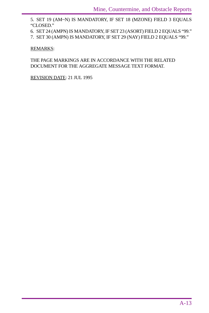5. SET 19 (AM~N) IS MANDATORY, IF SET 18 (MZONE) FIELD 3 EQUALS "CLOSED."

6. SET 24 (AMPN) IS MANDATORY, IF SET 23 (ASORT) FIELD 2 EQUALS "99."

7. SET 30 (AMPN) IS MANDATORY, IF SET 29 (NAY) FIELD 2 EQUALS "99."

#### REMARKS:

THE PAGE MARKINGS ARE IN ACCORDANCE WITH THE RELATED DOCUMENT FOR THE AGGREGATE MESSAGE TEXT FORMAT.

REVISION DATE: 21 JUL 1995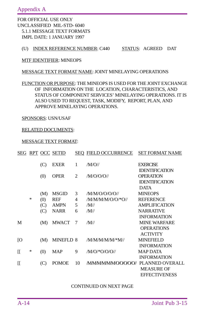Appendix A

FOR OFFICIAL USE ONLY UNCLASSIFIED MIL-STD- 6040 5.1.1 MESSAGE TEXT FORMATS IMPL DATE: 1 JANUARY 1997

#### (U) INDEX REFERENCE NUMBER: C440 STATUS: AGREED DAT

#### MTF IDENTIFIER: MINEOPS

#### MESSAGE TEXT FORMAT NAME: JOINT MINELAYING OPERATIONS

FUNCTION OR PURPOSE: THE MINEOPS IS USED FOR THE JOINT EXCHANGE OF INFORMATION ON THE LOCATION, CHARACTERISTICS, AND STATUS OF COMPONENT SERVICES' MINELAYING OPERATIONS. IT IS ALSO USED TO REQUEST, TASK, MODIFY, REPORT, PLAN, AND APPROVE MINELAYING OPERATIONS.

SPONSORS: USN/USAF

RELATED DOCUMENTS:

MESSAGE TEXT FORMAT:

|                |   |     | <b>SEG RPT OCC SETID</b> |                | <b>SEQ FIELD OCCURRENCE</b> | <b>SET FORMAT NAME</b> |
|----------------|---|-----|--------------------------|----------------|-----------------------------|------------------------|
|                |   | (C) | <b>EXER</b>              | 1              | $/M/O$ //                   | <b>EXERCISE</b>        |
|                |   |     |                          |                |                             | <b>IDENTIFICATION</b>  |
|                |   | (0) | <b>OPER</b>              | $\overline{2}$ | /M/O/O/O//                  | <b>OPERATION</b>       |
|                |   |     |                          |                |                             | <b>IDENTIFICATION</b>  |
|                |   |     |                          |                |                             | <b>DATA</b>            |
|                |   | (M) | <b>MSGID</b>             | 3              | /M/M/O/O/O/O//              | <b>MINEOPS</b>         |
|                | ∗ | (0) | <b>REF</b>               | 4              | /M/M/M/M/O/O/*O//           | <b>REFERENCE</b>       |
|                |   | (C) | <b>AMPN</b>              | 5              | /M/                         | <b>AMPLIFICATION</b>   |
|                |   | (C) | <b>NARR</b>              | 6              | /M/                         | <b>NARRATIVE</b>       |
|                |   |     |                          |                |                             | <b>INFORMATION</b>     |
| M              |   | (M) | <b>MWACT</b>             | 7              | /M/                         | <b>MINE WARFARE</b>    |
|                |   |     |                          |                |                             | <b>OPERATIONS</b>      |
|                |   |     |                          |                |                             | <b>ACTIVITY</b>        |
| $\overline{O}$ |   | (M) | <b>MINEFLD 8</b>         |                | /M/M/M/M/*M//               | <b>MINEFIELD</b>       |
|                |   |     |                          |                |                             | <b>INFORMATION</b>     |
| Œ              | * | (0) | <b>MAP</b>               | 9              | /M/O/*O/O/O//               | <b>MAP DATA</b>        |
|                |   |     |                          |                |                             | <b>INFORMATION</b>     |
| Œ              |   | (C) | <b>POMOE</b>             | 10             | MMMMMMOOOOO//               | PLANNED OVERALL        |
|                |   |     |                          |                |                             | <b>MEASURE OF</b>      |
|                |   |     |                          |                |                             | <b>EFFECTIVENESS</b>   |

CONTINUED ON NEXT PAGE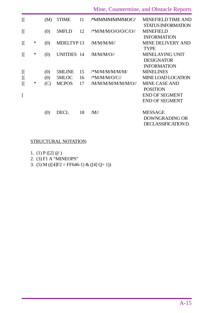## Mine, Countermine, and Obstacle Reports

| ſſ                       |   | (M)               | 5TIME                           | 11             | /*MMMMMMMMOC//                                       | <b>MINEFIELD TIME AND</b><br>STATUS INFORMATION                                                                                                           |
|--------------------------|---|-------------------|---------------------------------|----------------|------------------------------------------------------|-----------------------------------------------------------------------------------------------------------------------------------------------------------|
| ſſ                       |   | (0)               | 5MFLD                           | 12             | /*M/M/M/O/O/O/C/O//                                  | <b>MINEFIELD</b><br><b>INFORMATION</b>                                                                                                                    |
| $\overline{\mathcal{L}}$ | ∗ | (0)               | <b>MDELTYP13</b>                |                | /M/M/M/M//                                           | <b>MINE DELIVERY AND</b><br><b>TYPE</b>                                                                                                                   |
| [[                       | ∗ | (0)               | UNITDES 14                      |                | /M/M/M/O//                                           | <b>MINELAYING UNIT</b><br><b>DESIGNATOR</b>                                                                                                               |
| $[$ [<br>[[<br>Œ<br>ſ    | ∗ | (0)<br>(0)<br>(C) | 5MLINE<br>5MLOC<br><b>MCPOS</b> | 15<br>16<br>17 | /*M/M/M/M/M/M<br>/*M/M/M/O/C//<br>/M/M/M/M/M/M/M/O// | <b>INFORMATION</b><br><b>MINELINES</b><br>MINE LOAD LOCATION<br><b>MINE CASE AND</b><br><b>POSITION</b><br><b>END OF SEGMENT</b><br><b>END OF SEGMENT</b> |
|                          |   | (0)               | DECL                            | 18             | /M/                                                  | <b>MESSAGE</b><br>DOWNGRADING OR<br>DECLASSIFICATION D.                                                                                                   |

### STRUCTURAL NOTATION:

- 1. (1)  $P([2] \; @)$
- 2. (3) F1 A "MINEOPS"
- 3. (5) M (([4]F2 = FF646-1) & ([4] Q= 1))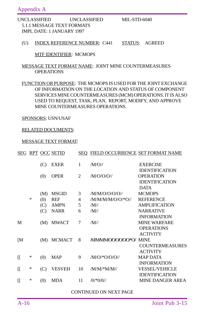### Appendix A

UNCLASSIFIED UNCLASSIFIED MIL-STD-6040 5.1.1 MESSAGE TEXT FORMATS IMPL DATE: 1 JANUARY 1997

(U) INDEX REFERENCE NUMBER: C441 STATUS: AGREED

MTF IDENTIFIER: MCMOPS

MESSAGE TEXT FORMAT NAME: JOINT MINE COUNTERMEASURES **OPERATIONS** 

FUNCTION OR PURPOSE: THE MCMOPS IS USED FOR THE JOINT EXCHANGE OF INFORMATION ON THE LOCATION AND STATUS OF COMPONENT SERVICES MINE COUNTERMEASURES (MCM) OPERATIONS. IT IS ALSO USED TO REQUEST, TASK, PLAN, REPORT, MODIFY, AND APPROVE MINE COUNTERMEASURES OPERATIONS.

SPONSORS: USN/USAF

RELATED DOCUMENTS:

MESSAGE TEXT FORMAT:

|       |   |     | <b>SEG RPT OCC SETID</b> |                | SEQ FIELD OCCURRENCE SET FORMAT NAME |                         |
|-------|---|-----|--------------------------|----------------|--------------------------------------|-------------------------|
|       |   | (C) | <b>EXER</b>              | $\mathbf{1}$   | $M/O$ //                             | <b>EXERCISE</b>         |
|       |   |     |                          |                |                                      | <b>IDENTIFICATION</b>   |
|       |   | (0) | <b>OPER</b>              | $\overline{2}$ | /M/O/O/O//                           | <b>OPERATION</b>        |
|       |   |     |                          |                |                                      | <b>IDENTIFICATION</b>   |
|       |   |     |                          |                |                                      | <b>DATA</b>             |
|       |   | (M) | <b>MSGID</b>             | 3              | /M/M/O/O/O/O//                       | <b>MCMOPS</b>           |
|       | * | (0) | <b>REF</b>               | $\overline{4}$ | /M/M/M/M/O/O/*O//                    | <b>REFERENCE</b>        |
|       |   | (C) | <b>AMPN</b>              | 5              | /M/                                  | <b>AMPLIFICATION</b>    |
|       |   | (C) | <b>NARR</b>              | 6              | /M/                                  | <b>NARRATIVE</b>        |
|       |   |     |                          |                |                                      | <b>INFORMATION</b>      |
| М     |   | (M) | <b>MWACT</b>             | 7              | /M/                                  | <b>MINE WARFARE</b>     |
|       |   |     |                          |                |                                      | <b>OPERATIONS</b>       |
|       |   |     |                          |                |                                      | <b>ACTIVITY</b>         |
| ſМ    |   | (M) | <b>MCMACT</b>            | 8              | MMMM000000*0/ MINE                   |                         |
|       |   |     |                          |                |                                      | <b>COUNTERMEASURES</b>  |
|       |   |     |                          |                |                                      | <b>ACTIVITY</b>         |
| $[$ [ | ∗ | (0) | <b>MAP</b>               | 9              | /M/O/*O/O/O//                        | <b>MAP DATA</b>         |
|       |   |     |                          |                |                                      | <b>INFORMATION</b>      |
| $[$ [ | ∗ | (C) | VESVEH                   | 10             | /M/M/*M/M//                          | <b>VESSEL/VEHICLE</b>   |
|       |   |     |                          |                |                                      | <b>IDENTIFICATION</b>   |
| [     | * | (0) | <b>MDA</b>               | 11             | $/0$ /*0/0//                         | <b>MINE DANGER AREA</b> |
|       |   |     |                          |                |                                      |                         |

CONTINUED ON NEXT PAGE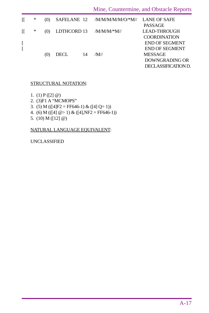### Mine, Countermine, and Obstacle Reports

| ſſ | ∗ | (0) |             |     | SAFELANE 12 /M/M/M/M/M/O/*M// LANE OF SAFE |                                       |
|----|---|-----|-------------|-----|--------------------------------------------|---------------------------------------|
| ſГ | ∗ | (0) | LDTHCORD 13 |     | $\Lambda M/M^{\ast}M^{\prime\prime}$       | <b>PASSAGE</b><br><b>LEAD-THROUGH</b> |
|    |   |     |             |     |                                            | <b>COORDINATION</b>                   |
|    |   |     |             |     |                                            | <b>END OF SEGMENT</b>                 |
|    |   |     |             |     |                                            | <b>END OF SEGMENT</b>                 |
|    |   | (0) | <b>DECL</b> | -14 | /M/                                        | <b>MESSAGE</b>                        |
|    |   |     |             |     |                                            | DOWNGRADING OR                        |
|    |   |     |             |     |                                            | DECLASSIFICATION D.                   |

#### STRUCTURAL NOTATION:

- 1. (1)  $P([2] \omega)$
- 2. (3)F1 A "MCMOPS"
- 3. (5) M (( $[4]F2 = FF646-1$ ) & ( $[4]Q=1$ ))
- 4. (6) M (([4]  $\textcircled{a} > 1$ ) & ([4],NF2 = FF646-1))
- 5. (10) M ([12] @)

### NATURAL LANGUAGE EQUIVALENT:

#### UNCLASSIFIED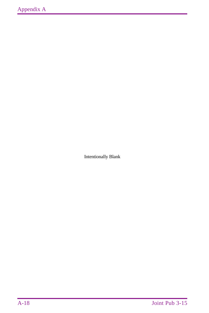Intentionally Blank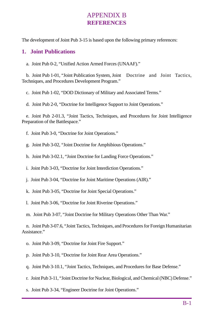## APPENDIX B **REFERENCES**

The development of Joint Pub 3-15 is based upon the following primary references:

### **1. Joint Publications**

a. Joint Pub 0-2, "Unified Action Armed Forces (UNAAF)."

b. Joint Pub 1-01, "Joint Publication System, Joint Doctrine and Joint Tactics, Techniques, and Procedures Development Program."

c. Joint Pub 1-02, "DOD Dictionary of Military and Associated Terms."

d. Joint Pub 2-0, "Doctrine for Intelligence Support to Joint Operations."

e. Joint Pub 2-01.3, "Joint Tactics, Techniques, and Procedures for Joint Intelligence Preparation of the Battlespace."

f. Joint Pub 3-0, "Doctrine for Joint Operations."

g. Joint Pub 3-02, "Joint Doctrine for Amphibious Operations."

h. Joint Pub 3-02.1, "Joint Doctrine for Landing Force Operations."

i. Joint Pub 3-03, "Doctrine for Joint Interdiction Operations."

j. Joint Pub 3-04, "Doctrine for Joint Maritime Operations (AIR)."

k. Joint Pub 3-05, "Doctrine for Joint Special Operations."

l. Joint Pub 3-06, "Doctrine for Joint Riverine Operations."

m. Joint Pub 3-07, "Joint Doctrine for Military Operations Other Than War."

n. Joint Pub 3-07.6, "Joint Tactics, Techniques, and Procedures for Foreign Humanitarian Assistance."

- o. Joint Pub 3-09, "Doctrine for Joint Fire Support."
- p. Joint Pub 3-10, "Doctrine for Joint Rear Area Operations."
- q. Joint Pub 3-10.1, "Joint Tactics, Techniques, and Procedures for Base Defense."
- r. Joint Pub 3-11, "Joint Doctrine for Nuclear, Biological, and Chemical (NBC) Defense."
- s. Joint Pub 3-34, "Engineer Doctrine for Joint Operations."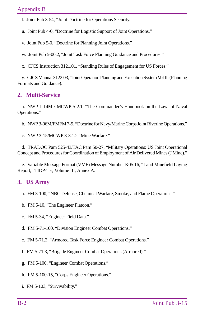- t. Joint Pub 3-54, "Joint Doctrine for Operations Security."
- u. Joint Pub 4-0, "Doctrine for Logistic Support of Joint Operations."
- v. Joint Pub 5-0, "Doctrine for Planning Joint Operations."

w. Joint Pub 5-00.2, "Joint Task Force Planning Guidance and Procedures."

x. CJCS Instruction 3121.01, "Standing Rules of Engagement for US Forces."

y. CJCS Manual 3122.03, "Joint Operation Planning and Execution System Vol II: (Planning Formats and Guidance)."

### **2. Multi-Service**

a. NWP 1-14M / MCWP 5-2.1, "The Commander's Handbook on the Law of Naval Operations."

b. NWP 3-06M/FMFM 7-5, "Doctrine for Navy/Marine Corps Joint Riverine Operations."

c. NWP 3-15/MCWP 3-3.1.2 "Mine Warfare."

d. TRADOC Pam 525-43/TAC Pam 50-27, "Military Operations: US Joint Operational Concept and Procedures for Coordination of Employment of Air Delivered Mines (J Mine)."

e. Variable Message Format (VMF) Message Number K05.16, "Land Minefield Laying Report," TIDP-TE, Volume III, Annex A.

## **3. US Army**

- a. FM 3-100, "NBC Defense, Chemical Warfare, Smoke, and Flame Operations."
- b. FM 5-10, "The Engineer Platoon."
- c. FM 5-34, "Engineer Field Data."
- d. FM 5-71-100, "Division Engineer Combat Operations."
- e. FM 5-71.2, "Armored Task Force Engineer Combat Operations."
- f. FM 5-71.3, "Brigade Engineer Combat Operations (Armored)."
- g. FM 5-100, "Engineer Combat Operations."
- h. FM 5-100-15, "Corps Engineer Operations."
- i. FM 5-103, "Survivability."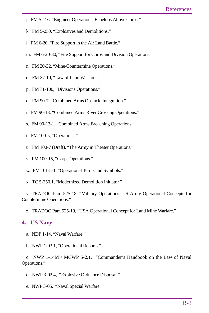- j. FM 5-116, "Engineer Operations, Echelons Above Corps."
- k. FM 5-250, "Explosives and Demolitions."
- l. FM 6-20, "Fire Support in the Air Land Battle."
- m. FM 6-20-30, "Fire Support for Corps and Division Operations."
- n. FM 20-32, "Mine/Countermine Operations."
- o. FM 27-10, "Law of Land Warfare."
- p. FM 71-100, "Divisions Operations."
- q. FM 90-7, "Combined Arms Obstacle Integration."
- r. FM 90-13, "Combined Arms River Crossing Operations."
- s. FM 90-13-1, "Combined Arms Breaching Operations."
- t. FM 100-5, "Operations."
- u. FM 100-7 (Draft), "The Army in Theater Operations."
- v. FM 100-15, "Corps Operations."
- w. FM 101-5-1, "Operational Terms and Symbols."
- x. TC 5-250.1, "Modernized Demolition Initiator."

y. TRADOC Pam 525-18, "Military Operations: US Army Operational Concepts for Countermine Operations."

z. TRADOC Pam 525-19, "USA Operational Concept for Land Mine Warfare."

#### **4. US Navy**

- a. NDP 1-14, "Naval Warfare."
- b. NWP 1-03.1, "Operational Reports."

c. NWP 1-14M / MCWP 5-2.1, "Commander's Handbook on the Law of Naval Operations."

- d. NWP 3-02.4, "Explosive Ordnance Disposal."
- e. NWP 3-05, "Naval Special Warfare."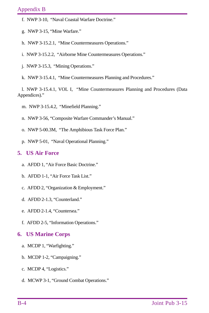- f. NWP 3-10, "Naval Coastal Warfare Doctrine."
- g. NWP 3-15, "Mine Warfare."
- h. NWP 3-15.2.1, "Mine Countermeasures Operations."
- i. NWP 3-15.2.2, "Airborne Mine Countermeasures Operations."
- j. NWP 3-15.3, "Mining Operations."
- k. NWP 3-15.4.1, "Mine Countermeasures Planning and Procedures."

l. NWP 3-15.4.1, VOL I, "Mine Countermeasures Planning and Procedures (Data Appendices)."

- m. NWP 3-15.4.2, "Minefield Planning."
- n. NWP 3-56, "Composite Warfare Commander's Manual."
- o. NWP 5-00.3M, "The Amphibious Task Force Plan."
- p. NWP 5-01, "Naval Operational Planning."

## **5. US Air Force**

- a. AFDD 1, "Air Force Basic Doctrine."
- b. AFDD 1-1, "Air Force Task List."
- c. AFDD 2, "Organization & Employment."
- d. AFDD 2-1.3, "Counterland."
- e. AFDD 2-1.4, "Countersea."
- f. AFDD 2-5, "Information Operations."

## **6. US Marine Corps**

- a. MCDP 1, "Warfighting."
- b. MCDP 1-2, "Campaigning."
- c. MCDP 4, "Logistics."
- d. MCWP 3-1, "Ground Combat Operations."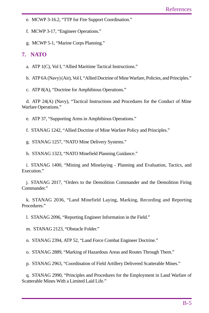e. MCWP 3-16.2, "TTP for Fire Support Coordination."

f. MCWP 3-17, "Engineer Operations."

g. MCWP 5-1, "Marine Corps Planning."

#### **7. NATO**

a. ATP 1(C), Vol I, "Allied Maritime Tactical Instructions."

b. ATP 6A (Navy) (Air), Vol I, "Allied Doctrine of Mine Warfare, Policies, and Principles."

c. ATP 8(A), "Doctrine for Amphibious Operations."

d. ATP 24(A) (Navy), "Tactical Instructions and Procedures for the Conduct of Mine Warfare Operations."

e. ATP 37, "Supporting Arms in Amphibious Operations."

f. STANAG 1242, "Allied Doctrine of Mine Warfare Policy and Principles."

g. STANAG 1257, "NATO Mine Delivery Systems."

h. STANAG 1323, "NATO Minefield Planning Guidance."

i. STANAG 1400, "Mining and Minelaying - Planning and Evaluation, Tactics, and Execution."

j. STANAG 2017, "Orders to the Demolition Commander and the Demolition Firing Commander."

k. STANAG 2036, "Land Minefield Laying, Marking, Recording and Reporting Procedures."

l. STANAG 2096, "Reporting Engineer Information in the Field."

m. STANAG 2123, "Obstacle Folder."

n. STANAG 2394, ATP 52, "Land Force Combat Engineer Doctrine."

o. STANAG 2889, "Marking of Hazardous Areas and Routes Through Them."

p. STANAG 2963, "Coordination of Field Artillery Delivered Scatterable Mines."

q. STANAG 2990, "Principles and Procedures for the Employment in Land Warfare of Scatterable Mines With a Limited Laid Life."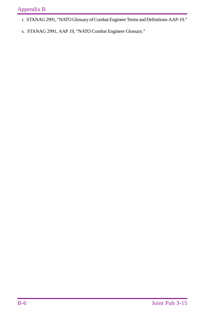- r. STANAG 2991, "NATO Glossary of Combat Engineer Terms and Definitions-AAP-19."
- s. STANAG 2991, AAP 19, "NATO Combat Engineer Glossary."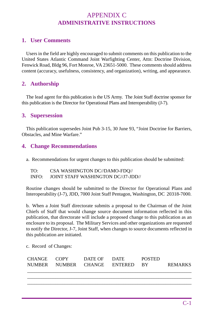## APPENDIX C **ADMINISTRATIVE INSTRUCTIONS**

### **1. User Comments**

Users in the field are highly encouraged to submit comments on this publication to the United States Atlantic Command Joint Warfighting Center, Attn: Doctrine Division, Fenwick Road, Bldg 96, Fort Monroe, VA 23651-5000. These comments should address content (accuracy, usefulness, consistency, and organization), writing, and appearance.

### **2. Authorship**

The lead agent for this publication is the US Army. The Joint Staff doctrine sponsor for this publication is the Director for Operational Plans and Interoperability (J-7).

### **3. Supersession**

This publication supersedes Joint Pub 3-15, 30 June 93, "Joint Doctrine for Barriers, Obstacles, and Mine Warfare."

### **4. Change Recommendations**

a. Recommendations for urgent changes to this publication should be submitted:

TO: CSA WASHINGTON DC//DAMO-FDQ// INFO: JOINT STAFF WASHINGTON DC//J7-JDD//

Routine changes should be submitted to the Director for Operational Plans and Interoperability (J-7), JDD, 7000 Joint Staff Pentagon, Washington, DC 20318-7000.

b. When a Joint Staff directorate submits a proposal to the Chairman of the Joint Chiefs of Staff that would change source document information reflected in this publication, that directorate will include a proposed change to this publication as an enclosure to its proposal. The Military Services and other organizations are requested to notify the Director, J-7, Joint Staff, when changes to source documents reflected in this publication are initiated.

c. Record of Changes:

| CHANGE COPY |                              | DATE OF | <b>DATE</b> | <b>POSTED</b> |                |
|-------------|------------------------------|---------|-------------|---------------|----------------|
|             | NUMBER NUMBER CHANGE ENTERED |         |             | <b>RY</b>     | <b>REMARKS</b> |

\_\_\_\_\_\_\_\_\_\_\_\_\_\_\_\_\_\_\_\_\_\_\_\_\_\_\_\_\_\_\_\_\_\_\_\_\_\_\_\_\_\_\_\_\_\_\_\_\_\_\_\_\_\_\_\_\_\_\_\_\_\_\_\_\_\_\_\_\_\_ \_\_\_\_\_\_\_\_\_\_\_\_\_\_\_\_\_\_\_\_\_\_\_\_\_\_\_\_\_\_\_\_\_\_\_\_\_\_\_\_\_\_\_\_\_\_\_\_\_\_\_\_\_\_\_\_\_\_\_\_\_\_\_\_\_\_\_\_\_\_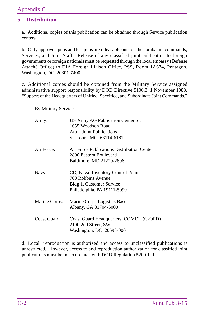## **5. Distribution**

a. Additional copies of this publication can be obtained through Service publication centers.

b. Only approved pubs and test pubs are releasable outside the combatant commands, Services, and Joint Staff. Release of any classified joint publication to foreign governments or foreign nationals must be requested through the local embassy (Defense Attaché Office) to DIA Foreign Liaison Office, PSS, Room 1A674, Pentagon, Washington, DC 20301-7400.

c. Additional copies should be obtained from the Military Service assigned administrative support responsibility by DOD Directive 5100.3, 1 November 1988, "Support of the Headquarters of Unified, Specified, and Subordinate Joint Commands."

By Military Services:

| Army:         | US Army AG Publication Center SL<br>1655 Woodson Road<br>Attn: Joint Publications<br>St. Louis, MO 63114-6181      |
|---------------|--------------------------------------------------------------------------------------------------------------------|
| Air Force:    | Air Force Publications Distribution Center<br>2800 Eastern Boulevard<br>Baltimore, MD 21220-2896                   |
| Navy:         | CO, Naval Inventory Control Point<br>700 Robbins Avenue<br>Bldg 1, Customer Service<br>Philadelphia, PA 19111-5099 |
| Marine Corps: | Marine Corps Logistics Base<br>Albany, GA 31704-5000                                                               |
| Coast Guard:  | Coast Guard Headquarters, COMDT (G-OPD)<br>2100 2nd Street, SW<br>Washington, DC 20593-0001                        |

d. Local reproduction is authorized and access to unclassified publications is unrestricted. However, access to and reproduction authorization for classified joint publications must be in accordance with DOD Regulation 5200.1-R.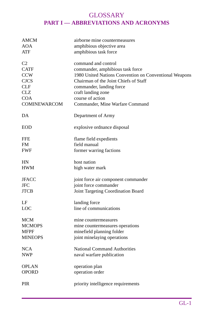## **GLOSSARY PART I — ABBREVIATIONS AND ACRONYMS**

| <b>AMCM</b>         | airborne mine countermeasures                          |
|---------------------|--------------------------------------------------------|
| AOA                 | amphibious objective area                              |
| ATF                 | amphibious task force                                  |
| C <sub>2</sub>      | command and control                                    |
| <b>CATF</b>         | commander, amphibious task force                       |
| <b>CCW</b>          | 1980 United Nations Convention on Conventional Weapons |
| <b>CJCS</b>         | Chairman of the Joint Chiefs of Staff                  |
| <b>CLF</b>          | commander, landing force                               |
| <b>CLZ</b>          | craft landing zone                                     |
| <b>COA</b>          | course of action                                       |
| <b>COMINEWARCOM</b> | Commander, Mine Warfare Command                        |
| DA                  | Department of Army                                     |
| <b>EOD</b>          | explosive ordnance disposal                            |
| <b>FFE</b>          | flame field expedients                                 |
| FM                  | field manual                                           |
| FWF                 | former warring factions                                |
| HN                  | host nation                                            |
| <b>HWM</b>          | high water mark                                        |
| <b>JFACC</b>        | joint force air component commander                    |
| JFC                 | joint force commander                                  |
| <b>JTCB</b>         | Joint Targeting Coordination Board                     |
| LF                  | landing force                                          |
| LOC                 | line of communications                                 |
| MCM                 | mine countermeasures                                   |
| <b>MCMOPS</b>       | mine countermeasures operations                        |
| MFPF                | minefield planning folder                              |
| <b>MINEOPS</b>      | joint minelaying operations                            |
| NCA                 | <b>National Command Authorities</b>                    |
| NWP                 | naval warfare publication                              |
| <b>OPLAN</b>        | operation plan                                         |
| <b>OPORD</b>        | operation order                                        |
| PIR                 | priority intelligence requirements                     |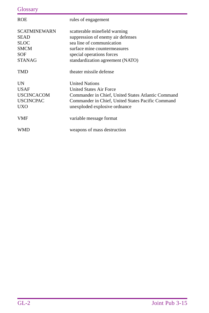# **Glossary**

| <b>ROE</b>                                                                               | rules of engagement                                                                                                                                                                                 |
|------------------------------------------------------------------------------------------|-----------------------------------------------------------------------------------------------------------------------------------------------------------------------------------------------------|
| <b>SCATMINEWARN</b><br><b>SEAD</b><br><b>SLOC</b><br><b>SMCM</b><br>SOF<br><b>STANAG</b> | scatterable minefield warning<br>suppression of enemy air defenses<br>sea line of communication<br>surface mine countermeasures<br>special operations forces<br>standardization agreement (NATO)    |
| <b>TMD</b>                                                                               | theater missile defense                                                                                                                                                                             |
| UN<br><b>USAF</b><br><b>USCINCACOM</b><br><b>USCINCPAC</b><br>UXO                        | <b>United Nations</b><br><b>United States Air Force</b><br>Commander in Chief, United States Atlantic Command<br>Commander in Chief, United States Pacific Command<br>unexploded explosive ordnance |
| <b>VMF</b>                                                                               | variable message format                                                                                                                                                                             |
| WMD                                                                                      | weapons of mass destruction                                                                                                                                                                         |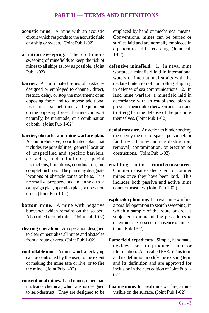### **PART II — TERMS AND DEFINITIONS**

- **acoustic mine.** A mine with an acoustic circuit which responds to the acoustic field of a ship or sweep. (Joint Pub 1-02)
- **attrition sweeping.** The continuous sweeping of minefields to keep the risk of mines to all ships as low as possible. (Joint Pub 1-02)
- **barrier.** A coordinated series of obstacles designed or employed to channel, direct, restrict, delay, or stop the movement of an opposing force and to impose additional losses in personnel, time, and equipment on the opposing force. Barriers can exist naturally, be manmade, or a combination of both. (Joint Pub 1-02)
- **barrier, obstacle, and mine warfare plan.** A comprehensive, coordinated plan that includes responsibilities, general location of unspecified and specific barriers, obstacles, and minefields, special instructions, limitations, coordination, and completion times. The plan may designate locations of obstacle zones or belts. It is normally prepared as an annex to a campaign plan, operation plan, or operation order. (Joint Pub 1-02)
- **bottom mine.** A mine with negative buoyancy which remains on the seabed. Also called ground mine. (Joint Pub 1-02)
- **clearing operation.** An operation designed to clear or neutralize all mines and obstacles from a route or area. (Joint Pub 1-02)
- **controllable mine.** A mine which after laying can be controlled by the user, to the extent of making the mine safe or live, or to fire the mine. (Joint Pub 1-02)
- **conventional mines.** Land mines, other than nuclear or chemical, which are not designed to self-destruct. They are designed to be

emplaced by hand or mechanical means. Conventional mines can be buried or surface laid and are normally emplaced in a pattern to aid in recording. (Joint Pub 1-02)

- **defensive minefield.** 1. In naval mine warfare, a minefield laid in international waters or international straits with the declared intention of controlling shipping in defense of sea communications. 2. In land mine warfare, a minefield laid in accordance with an established plan to prevent a penetration between positions and to strengthen the defense of the positions themselves. (Joint Pub 1-02)
- **denial measure.** An action to hinder or deny the enemy the use of space, personnel, or facilities. It may include destruction, removal, contamination, or erection of obstructions. (Joint Pub 1-02)
- **enabling mine countermeasures.** Countermeasures designed to counter mines once they have been laid. This includes both passive and active mine countermeasures. (Joint Pub 1-02)
- **exploratory hunting.** In naval mine warfare, a parallel operation to search sweeping, in which a sample of the route or area is subjected to minehunting procedures to determine the presence or absence of mines. (Joint Pub 1-02)
- **flame field expedients.** Simple, handmade devices used to produce flame or illumination. Also called FFE. (This term and its definition modify the existing term and its definition and are approved for inclusion in the next edition of Joint Pub 1- 02.)
- **floating mine.** In naval mine warfare, a mine visible on the surface. (Joint Pub 1-02)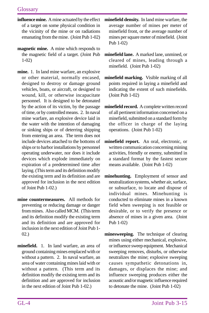### **Glossary**

- **influence mine.** A mine actuated by the effect of a target on some physical condition in the vicinity of the mine or on radiations emanating from the mine. (Joint Pub 1-02)
- **magnetic mine.** A mine which responds to the magnetic field of a target. (Joint Pub 1-02)
- **mine.** 1. In land mine warfare, an explosive or other material, normally encased, designed to destroy or damage ground vehicles, boats, or aircraft, or designed to wound, kill, or otherwise incapacitate personnel. It is designed to be detonated by the action of its victim, by the passage of time, or by controlled means. 2. In naval mine warfare, an explosive device laid in the water with the intention of damaging or sinking ships or of deterring shipping from entering an area. The term does not include devices attached to the bottoms of ships or to harbor installations by personnel operating underwater, nor does it include devices which explode immediately on expiration of a predetermined time after laying. (This term and its definition modify the existing term and its definition and are approved for inclusion in the next edition of Joint Pub 1-02.)
- **mine countermeasures.** All methods for preventing or reducing damage or danger from mines. Also called MCM. (This term and its definition modify the existing term and its definition and are approved for inclusion in the next edition of Joint Pub 1- 02.)
- **minefield.** 1. In land warfare, an area of ground containing mines emplaced with or without a pattern. 2. In naval warfare, an area of water containing mines laid with or without a pattern. (This term and its definition modify the existing term and its definition and are approved for inclusion in the next edition of Joint Pub 1-02.)
- **minefield density.** In land mine warfare, the average number of mines per meter of minefield front, or the average number of mines per square meter of minefield. (Joint Pub 1-02)
- **minefield lane.** A marked lane, unmined, or cleared of mines, leading through a minefield. (Joint Pub 1-02)
- **minefield marking.** Visible marking of all points required in laying a minefield and indicating the extent of such minefields. (Joint Pub 1-02)
- **minefield record.** A complete written record of all pertinent information concerned on a minefield, submitted on a standard form by the officer in charge of the laying operations. (Joint Pub 1-02)
- **minefield report.** An oral, electronic, or written communication concerning mining activities, friendly or enemy, submitted in a standard format by the fastest secure means available. (Joint Pub 1-02)
- **minehunting.** Employment of sensor and neutralization systems, whether air, surface, or subsurface, to locate and dispose of individual mines. Minehunting is conducted to eliminate mines in a known field when sweeping is not feasible or desirable, or to verify the presence or absence of mines in a given area. (Joint Pub 1-02)
- **minesweeping.** The technique of clearing mines using either mechanical, explosive, or influence sweep equipment. Mechanical sweeping removes, disturbs, or otherwise neutralizes the mine; explosive sweeping causes sympathetic detonations in, damages, or displaces the mine; and influence sweeping produces either the acoustic and/or magnetic influence required to detonate the mine. (Joint Pub 1-02)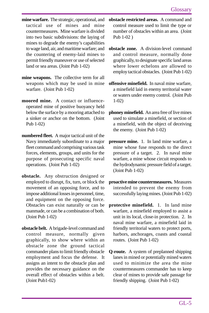- **mine warfare.** The strategic, operational, and tactical use of mines and mine countermeasures. Mine warfare is divided into two basic subdivisions: the laying of mines to degrade the enemy's capabilities to wage land, air, and maritime warfare; and the countering of enemy-laid mines to permit friendly maneuver or use of selected land or sea areas. (Joint Pub 1-02)
- **mine weapons.** The collective term for all weapons which may be used in mine warfare. (Joint Pub 1-02)
- **moored mine.** A contact or influenceoperated mine of positive buoyancy held below the surface by a mooring attached to a sinker or anchor on the bottom. (Joint Pub 1-02)
- **numbered fleet.** A major tactical unit of the Navy immediately subordinate to a major fleet command and comprising various task forces, elements, groups, and units for the purpose of prosecuting specific naval operations. (Joint Pub 1-02)
- **obstacle.** Any obstruction designed or employed to disrupt, fix, turn, or block the movement of an opposing force, and to impose additional losses in personnel, time, and equipment on the opposing force. Obstacles can exist naturally or can be manmade, or can be a combination of both. (Joint Pub 1-02)
- **obstacle belt.** A brigade-level command and control measure, normally given graphically, to show where within an obstacle zone the ground tactical commander plans to limit friendly obstacle employment and focus the defense. It assigns an intent to the obstacle plan and provides the necessary guidance on the overall effect of obstacles within a belt. (Joint Pub1-02)
- **obstacle restricted areas.** A command and control measure used to limit the type or number of obstacles within an area. (Joint Pub 1-02 )
- **obstacle zone.** A division-level command and control measure, normally done graphically, to designate specific land areas where lower echelons are allowed to employ tactical obstacles. (Joint Pub 1-02)
- **offensive minefield.** In naval mine warfare, a minefield laid in enemy territorial water or waters under enemy control. (Joint Pub 1-02)
- **phoney minefield.** An area free of live mines used to simulate a minefield, or section of a minefield, with the object of deceiving the enemy. (Joint Pub 1-02)
- **pressure mine.** 1. In land mine warfare, a mine whose fuse responds to the direct pressure of a target. 2. In naval mine warfare, a mine whose circuit responds to the hydrodynamic pressure field of a target. (Joint Pub 1-02)
- **proactive mine countermeasures.** Measures intended to prevent the enemy from successfully laying mines. (Joint Pub 1-02)
- **protective minefield.** 1. In land mine warfare, a minefield employed to assist a unit in its local, close-in protection. 2. In naval mine warfare, a minefield laid in friendly territorial waters to protect ports, harbors, anchorages, coasts and coastal routes. (Joint Pub 1-02)
- **Q-route.** A system of preplanned shipping lanes in mined or potentially mined waters used to minimize the area the mine countermeasures commander has to keep clear of mines to provide safe passage for friendly shipping. (Joint Pub 1-02)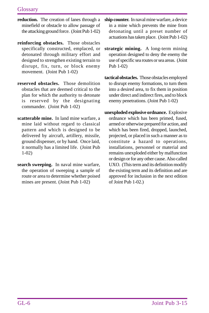### **Glossary**

- **reduction.** The creation of lanes through a minefield or obstacle to allow passage of the attacking ground force. (Joint Pub 1-02)
- **reinforcing obstacles.** Those obstacles specifically constructed, emplaced, or detonated through military effort and designed to strengthen existing terrain to disrupt, fix, turn, or block enemy movement. (Joint Pub 1-02)
- **reserved obstacles.** Those demolition obstacles that are deemed critical to the plan for which the authority to detonate is reserved by the designating commander. (Joint Pub 1-02)
- **scatterable mine.** In land mine warfare, a mine laid without regard to classical pattern and which is designed to be delivered by aircraft, artillery, missile, ground dispenser, or by hand. Once laid, it normally has a limited life. (Joint Pub 1-02)
- **search sweeping.** In naval mine warfare, the operation of sweeping a sample of route or area to determine whether poised mines are present. (Joint Pub 1-02)
- **ship counter.** In naval mine warfare, a device in a mine which prevents the mine from detonating until a preset number of actuations has taken place. (Joint Pub 1-02)
- **strategic mining.** A long-term mining operation designed to deny the enemy the use of specific sea routes or sea areas. (Joint Pub 1-02)
- **tactical obstacles.** Those obstacles employed to disrupt enemy formations, to turn them into a desired area, to fix them in position under direct and indirect fires, and to block enemy penetrations. (Joint Pub 1-02)
- **unexploded explosive ordnance.** Explosive ordnance which has been primed, fused, armed or otherwise prepared for action, and which has been fired, dropped, launched, projected, or placed in such a manner as to constitute a hazard to operations, installations, personnel or material and remains unexploded either by malfunction or design or for any other cause. Also called UXO. (This term and its definition modify the existing term and its definition and are approved for inclusion in the next edition of Joint Pub 1-02.)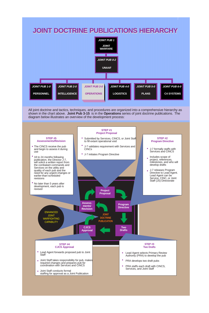